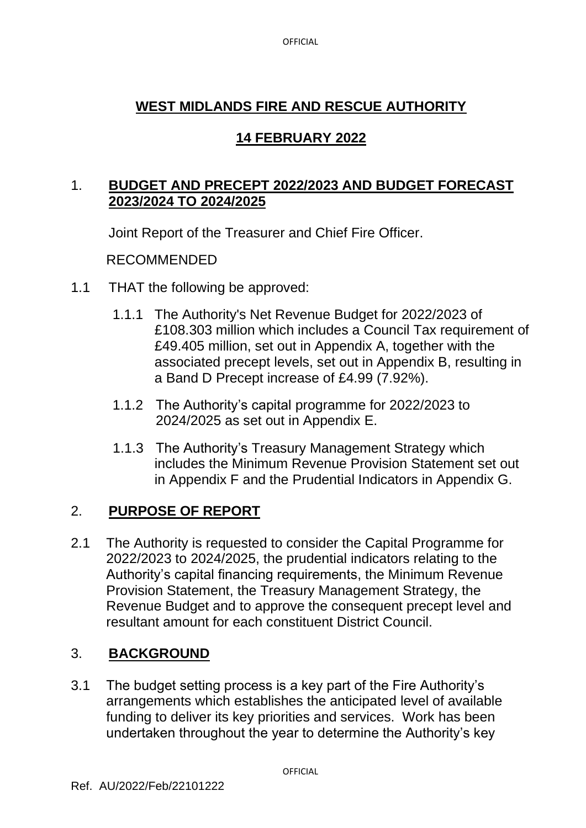# **WEST MIDLANDS FIRE AND RESCUE AUTHORITY**

# **14 FEBRUARY 2022**

### 1. **BUDGET AND PRECEPT 2022/2023 AND BUDGET FORECAST 2023/2024 TO 2024/2025**

Joint Report of the Treasurer and Chief Fire Officer.

### RECOMMENDED

- 1.1 THAT the following be approved:
	- 1.1.1 The Authority's Net Revenue Budget for 2022/2023 of £108.303 million which includes a Council Tax requirement of £49.405 million, set out in Appendix A, together with the associated precept levels, set out in Appendix B, resulting in a Band D Precept increase of £4.99 (7.92%).
	- 1.1.2 The Authority's capital programme for 2022/2023 to 2024/2025 as set out in Appendix E.
	- 1.1.3 The Authority's Treasury Management Strategy which includes the Minimum Revenue Provision Statement set out in Appendix F and the Prudential Indicators in Appendix G.

# 2. **PURPOSE OF REPORT**

2.1 The Authority is requested to consider the Capital Programme for 2022/2023 to 2024/2025, the prudential indicators relating to the Authority's capital financing requirements, the Minimum Revenue Provision Statement, the Treasury Management Strategy, the Revenue Budget and to approve the consequent precept level and resultant amount for each constituent District Council.

# 3. **BACKGROUND**

3.1 The budget setting process is a key part of the Fire Authority's arrangements which establishes the anticipated level of available funding to deliver its key priorities and services. Work has been undertaken throughout the year to determine the Authority's key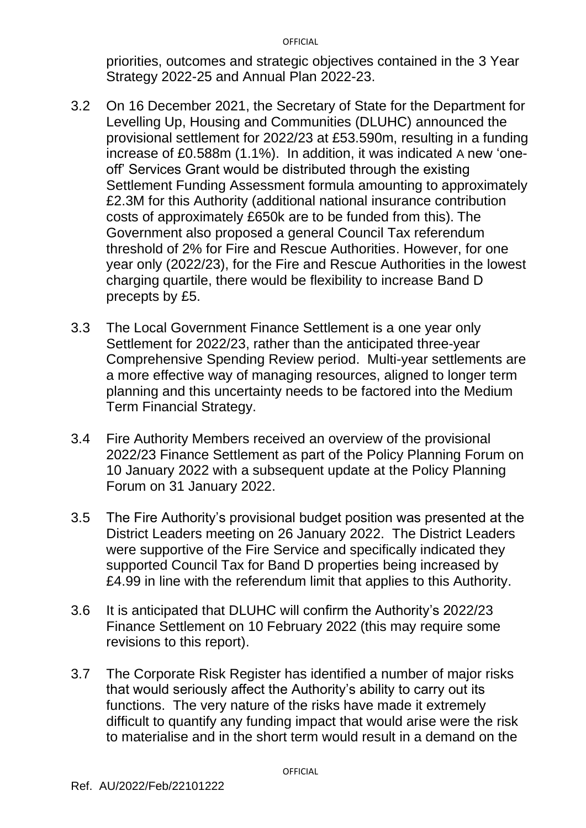priorities, outcomes and strategic objectives contained in the 3 Year Strategy 2022-25 and Annual Plan 2022-23.

- 3.2 On 16 December 2021, the Secretary of State for the Department for Levelling Up, Housing and Communities (DLUHC) announced the provisional settlement for 2022/23 at £53.590m, resulting in a funding increase of £0.588m (1.1%). In addition, it was indicated A new 'oneoff' Services Grant would be distributed through the existing Settlement Funding Assessment formula amounting to approximately £2.3M for this Authority (additional national insurance contribution costs of approximately £650k are to be funded from this). The Government also proposed a general Council Tax referendum threshold of 2% for Fire and Rescue Authorities. However, for one year only (2022/23), for the Fire and Rescue Authorities in the lowest charging quartile, there would be flexibility to increase Band D precepts by £5.
- 3.3 The Local Government Finance Settlement is a one year only Settlement for 2022/23, rather than the anticipated three-year Comprehensive Spending Review period. Multi-year settlements are a more effective way of managing resources, aligned to longer term planning and this uncertainty needs to be factored into the Medium Term Financial Strategy.
- 3.4 Fire Authority Members received an overview of the provisional 2022/23 Finance Settlement as part of the Policy Planning Forum on 10 January 2022 with a subsequent update at the Policy Planning Forum on 31 January 2022.
- 3.5 The Fire Authority's provisional budget position was presented at the District Leaders meeting on 26 January 2022. The District Leaders were supportive of the Fire Service and specifically indicated they supported Council Tax for Band D properties being increased by £4.99 in line with the referendum limit that applies to this Authority.
- 3.6 It is anticipated that DLUHC will confirm the Authority's 2022/23 Finance Settlement on 10 February 2022 (this may require some revisions to this report).
- 3.7 The Corporate Risk Register has identified a number of major risks that would seriously affect the Authority's ability to carry out its functions. The very nature of the risks have made it extremely difficult to quantify any funding impact that would arise were the risk to materialise and in the short term would result in a demand on the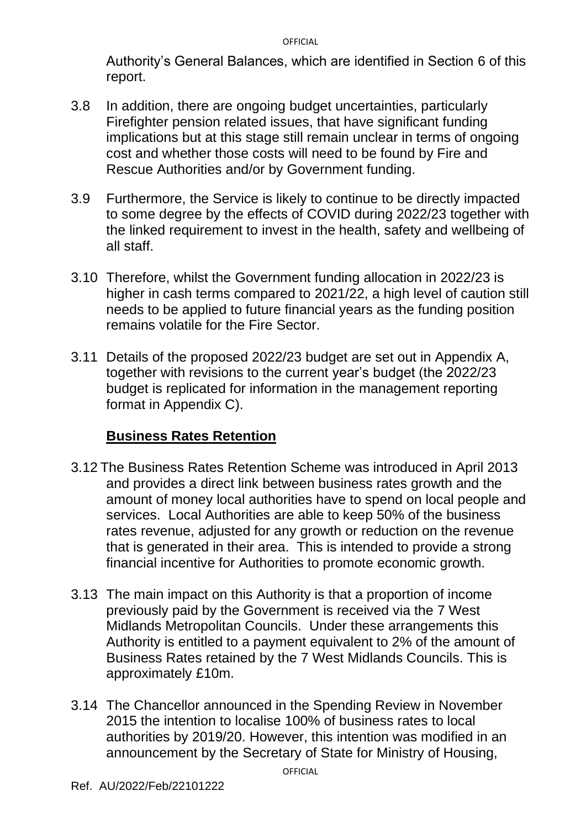Authority's General Balances, which are identified in Section 6 of this report.

- 3.8 In addition, there are ongoing budget uncertainties, particularly Firefighter pension related issues, that have significant funding implications but at this stage still remain unclear in terms of ongoing cost and whether those costs will need to be found by Fire and Rescue Authorities and/or by Government funding.
- 3.9 Furthermore, the Service is likely to continue to be directly impacted to some degree by the effects of COVID during 2022/23 together with the linked requirement to invest in the health, safety and wellbeing of all staff.
- 3.10 Therefore, whilst the Government funding allocation in 2022/23 is higher in cash terms compared to 2021/22, a high level of caution still needs to be applied to future financial years as the funding position remains volatile for the Fire Sector.
- 3.11 Details of the proposed 2022/23 budget are set out in Appendix A, together with revisions to the current year's budget (the 2022/23 budget is replicated for information in the management reporting format in Appendix C).

# **Business Rates Retention**

- 3.12 The Business Rates Retention Scheme was introduced in April 2013 and provides a direct link between business rates growth and the amount of money local authorities have to spend on local people and services. Local Authorities are able to keep 50% of the business rates revenue, adjusted for any growth or reduction on the revenue that is generated in their area. This is intended to provide a strong financial incentive for Authorities to promote economic growth.
- 3.13 The main impact on this Authority is that a proportion of income previously paid by the Government is received via the 7 West Midlands Metropolitan Councils. Under these arrangements this Authority is entitled to a payment equivalent to 2% of the amount of Business Rates retained by the 7 West Midlands Councils. This is approximately £10m.
- 3.14 The Chancellor announced in the Spending Review in November 2015 the intention to localise 100% of business rates to local authorities by 2019/20. However, this intention was modified in an announcement by the Secretary of State for Ministry of Housing,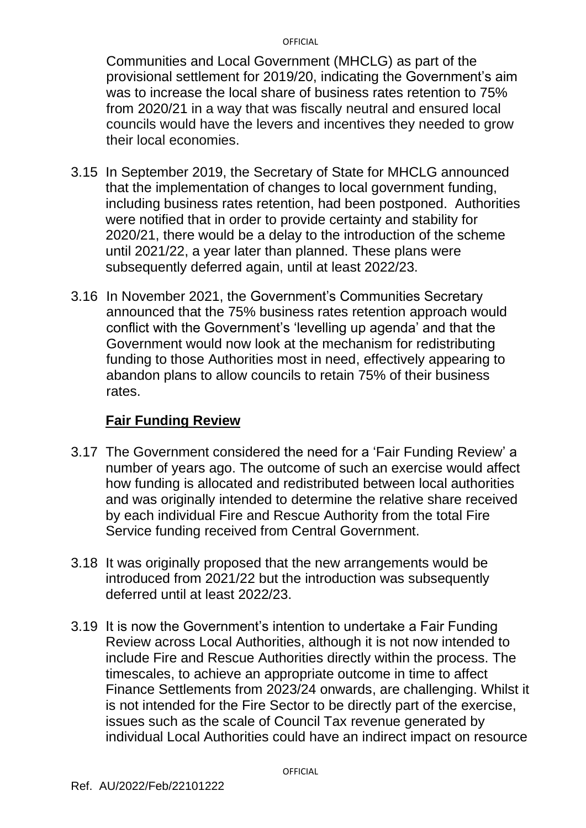Communities and Local Government (MHCLG) as part of the provisional settlement for 2019/20, indicating the Government's aim was to increase the local share of business rates retention to 75% from 2020/21 in a way that was fiscally neutral and ensured local councils would have the levers and incentives they needed to grow their local economies.

- 3.15 In September 2019, the Secretary of State for MHCLG announced that the implementation of changes to local government funding, including business rates retention, had been postponed. Authorities were notified that in order to provide certainty and stability for 2020/21, there would be a delay to the introduction of the scheme until 2021/22, a year later than planned. These plans were subsequently deferred again, until at least 2022/23.
- 3.16 In November 2021, the Government's Communities Secretary announced that the 75% business rates retention approach would conflict with the Government's 'levelling up agenda' and that the Government would now look at the mechanism for redistributing funding to those Authorities most in need, effectively appearing to abandon plans to allow councils to retain 75% of their business rates.

#### **Fair Funding Review**

- 3.17 The Government considered the need for a 'Fair Funding Review' a number of years ago. The outcome of such an exercise would affect how funding is allocated and redistributed between local authorities and was originally intended to determine the relative share received by each individual Fire and Rescue Authority from the total Fire Service funding received from Central Government.
- 3.18 It was originally proposed that the new arrangements would be introduced from 2021/22 but the introduction was subsequently deferred until at least 2022/23.
- 3.19 It is now the Government's intention to undertake a Fair Funding Review across Local Authorities, although it is not now intended to include Fire and Rescue Authorities directly within the process. The timescales, to achieve an appropriate outcome in time to affect Finance Settlements from 2023/24 onwards, are challenging. Whilst it is not intended for the Fire Sector to be directly part of the exercise, issues such as the scale of Council Tax revenue generated by individual Local Authorities could have an indirect impact on resource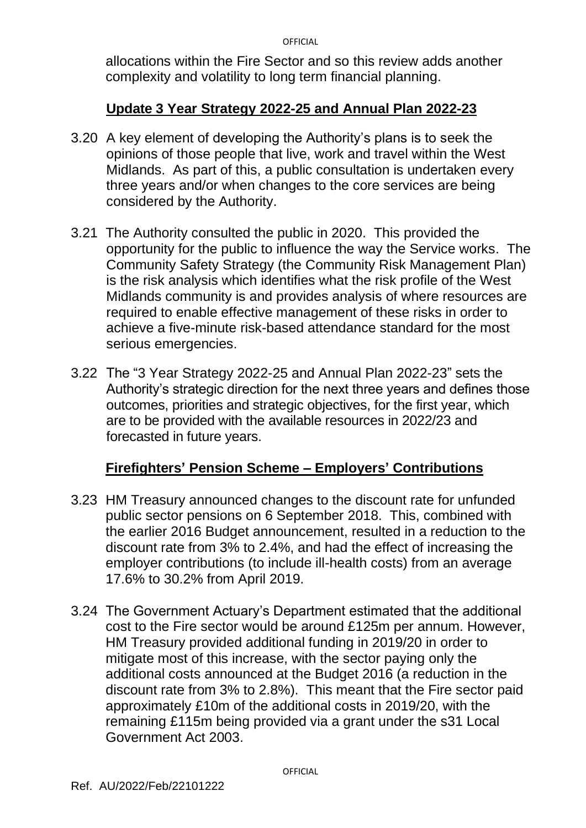allocations within the Fire Sector and so this review adds another complexity and volatility to long term financial planning.

### **Update 3 Year Strategy 2022-25 and Annual Plan 2022-23**

- 3.20 A key element of developing the Authority's plans is to seek the opinions of those people that live, work and travel within the West Midlands. As part of this, a public consultation is undertaken every three years and/or when changes to the core services are being considered by the Authority.
- 3.21 The Authority consulted the public in 2020. This provided the opportunity for the public to influence the way the Service works. The Community Safety Strategy (the Community Risk Management Plan) is the risk analysis which identifies what the risk profile of the West Midlands community is and provides analysis of where resources are required to enable effective management of these risks in order to achieve a five-minute risk-based attendance standard for the most serious emergencies.
- 3.22 The "3 Year Strategy 2022-25 and Annual Plan 2022-23" sets the Authority's strategic direction for the next three years and defines those outcomes, priorities and strategic objectives, for the first year, which are to be provided with the available resources in 2022/23 and forecasted in future years.

# **Firefighters' Pension Scheme – Employers' Contributions**

- 3.23 HM Treasury announced changes to the discount rate for unfunded public sector pensions on 6 September 2018. This, combined with the earlier 2016 Budget announcement, resulted in a reduction to the discount rate from 3% to 2.4%, and had the effect of increasing the employer contributions (to include ill-health costs) from an average 17.6% to 30.2% from April 2019.
- 3.24 The Government Actuary's Department estimated that the additional cost to the Fire sector would be around £125m per annum. However, HM Treasury provided additional funding in 2019/20 in order to mitigate most of this increase, with the sector paying only the additional costs announced at the Budget 2016 (a reduction in the discount rate from 3% to 2.8%). This meant that the Fire sector paid approximately £10m of the additional costs in 2019/20, with the remaining £115m being provided via a grant under the s31 Local Government Act 2003.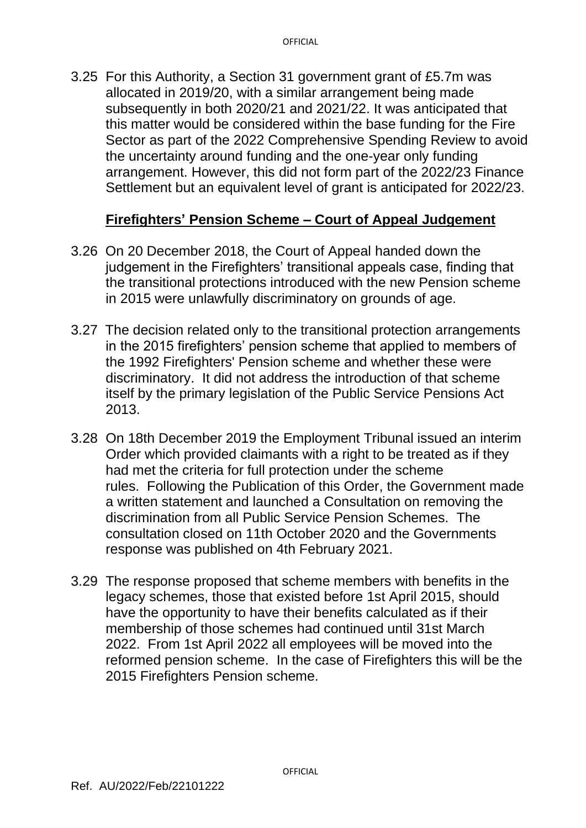3.25 For this Authority, a Section 31 government grant of £5.7m was allocated in 2019/20, with a similar arrangement being made subsequently in both 2020/21 and 2021/22. It was anticipated that this matter would be considered within the base funding for the Fire Sector as part of the 2022 Comprehensive Spending Review to avoid the uncertainty around funding and the one-year only funding arrangement. However, this did not form part of the 2022/23 Finance Settlement but an equivalent level of grant is anticipated for 2022/23.

### **Firefighters' Pension Scheme – Court of Appeal Judgement**

- 3.26 On 20 December 2018, the Court of Appeal handed down the judgement in the Firefighters' transitional appeals case, finding that the transitional protections introduced with the new Pension scheme in 2015 were unlawfully discriminatory on grounds of age.
- 3.27 The decision related only to the transitional protection arrangements in the 2015 firefighters' pension scheme that applied to members of the 1992 Firefighters' Pension scheme and whether these were discriminatory. It did not address the introduction of that scheme itself by the primary legislation of the Public Service Pensions Act 2013.
- 3.28 On 18th December 2019 the Employment Tribunal issued an interim Order which provided claimants with a right to be treated as if they had met the criteria for full protection under the scheme rules. Following the Publication of this Order, the Government made a written statement and launched a Consultation on removing the discrimination from all Public Service Pension Schemes. The consultation closed on 11th October 2020 and the Governments response was published on 4th February 2021.
- 3.29 The response proposed that scheme members with benefits in the legacy schemes, those that existed before 1st April 2015, should have the opportunity to have their benefits calculated as if their membership of those schemes had continued until 31st March 2022. From 1st April 2022 all employees will be moved into the reformed pension scheme. In the case of Firefighters this will be the 2015 Firefighters Pension scheme.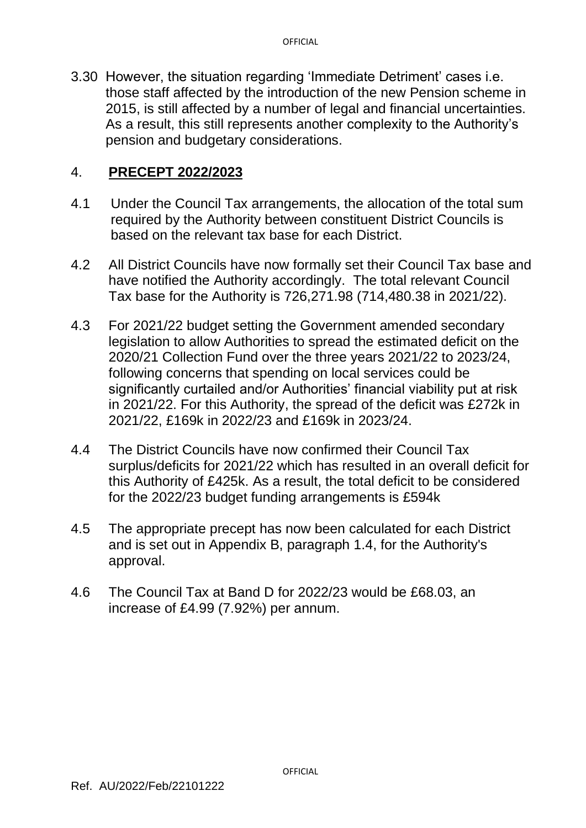3.30 However, the situation regarding 'Immediate Detriment' cases i.e. those staff affected by the introduction of the new Pension scheme in 2015, is still affected by a number of legal and financial uncertainties. As a result, this still represents another complexity to the Authority's pension and budgetary considerations.

#### 4. **PRECEPT 2022/2023**

- 4.1 Under the Council Tax arrangements, the allocation of the total sum required by the Authority between constituent District Councils is based on the relevant tax base for each District.
- 4.2 All District Councils have now formally set their Council Tax base and have notified the Authority accordingly. The total relevant Council Tax base for the Authority is 726,271.98 (714,480.38 in 2021/22).
- 4.3 For 2021/22 budget setting the Government amended secondary legislation to allow Authorities to spread the estimated deficit on the 2020/21 Collection Fund over the three years 2021/22 to 2023/24, following concerns that spending on local services could be significantly curtailed and/or Authorities' financial viability put at risk in 2021/22. For this Authority, the spread of the deficit was £272k in 2021/22, £169k in 2022/23 and £169k in 2023/24.
- 4.4 The District Councils have now confirmed their Council Tax surplus/deficits for 2021/22 which has resulted in an overall deficit for this Authority of £425k. As a result, the total deficit to be considered for the 2022/23 budget funding arrangements is £594k
- 4.5 The appropriate precept has now been calculated for each District and is set out in Appendix B, paragraph 1.4, for the Authority's approval.
- 4.6 The Council Tax at Band D for 2022/23 would be £68.03, an increase of £4.99 (7.92%) per annum.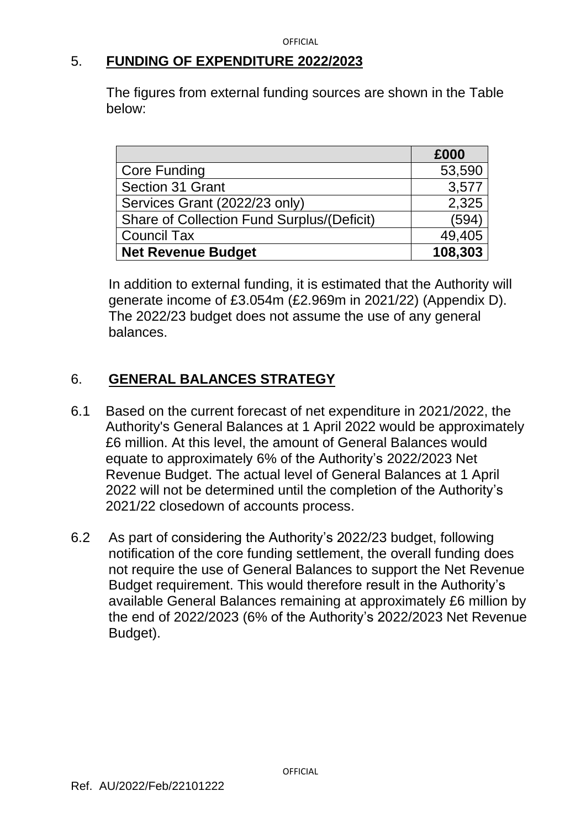### 5. **FUNDING OF EXPENDITURE 2022/2023**

The figures from external funding sources are shown in the Table below:

|                                            | £000    |
|--------------------------------------------|---------|
| <b>Core Funding</b>                        | 53,590  |
| Section 31 Grant                           | 3,577   |
| Services Grant (2022/23 only)              | 2,325   |
| Share of Collection Fund Surplus/(Deficit) | (594)   |
| <b>Council Tax</b>                         | 49,405  |
| <b>Net Revenue Budget</b>                  | 108,303 |

In addition to external funding, it is estimated that the Authority will generate income of £3.054m (£2.969m in 2021/22) (Appendix D). The 2022/23 budget does not assume the use of any general balances.

# 6. **GENERAL BALANCES STRATEGY**

- 6.1 Based on the current forecast of net expenditure in 2021/2022, the Authority's General Balances at 1 April 2022 would be approximately £6 million. At this level, the amount of General Balances would equate to approximately 6% of the Authority's 2022/2023 Net Revenue Budget. The actual level of General Balances at 1 April 2022 will not be determined until the completion of the Authority's 2021/22 closedown of accounts process.
- 6.2 As part of considering the Authority's 2022/23 budget, following notification of the core funding settlement, the overall funding does not require the use of General Balances to support the Net Revenue Budget requirement. This would therefore result in the Authority's available General Balances remaining at approximately £6 million by the end of 2022/2023 (6% of the Authority's 2022/2023 Net Revenue Budget).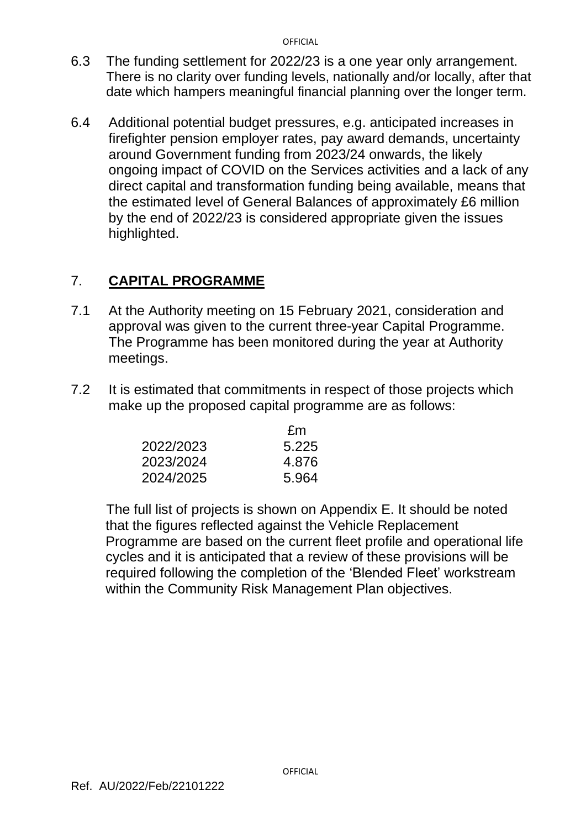- 6.3 The funding settlement for 2022/23 is a one year only arrangement. There is no clarity over funding levels, nationally and/or locally, after that date which hampers meaningful financial planning over the longer term.
- 6.4 Additional potential budget pressures, e.g. anticipated increases in firefighter pension employer rates, pay award demands, uncertainty around Government funding from 2023/24 onwards, the likely ongoing impact of COVID on the Services activities and a lack of any direct capital and transformation funding being available, means that the estimated level of General Balances of approximately £6 million by the end of 2022/23 is considered appropriate given the issues highlighted.

# 7. **CAPITAL PROGRAMME**

- 7.1 At the Authority meeting on 15 February 2021, consideration and approval was given to the current three-year Capital Programme. The Programme has been monitored during the year at Authority meetings.
- 7.2 It is estimated that commitments in respect of those projects which make up the proposed capital programme are as follows:

|           | £m    |
|-----------|-------|
| 2022/2023 | 5.225 |
| 2023/2024 | 4.876 |
| 2024/2025 | 5.964 |

The full list of projects is shown on Appendix E. It should be noted that the figures reflected against the Vehicle Replacement Programme are based on the current fleet profile and operational life cycles and it is anticipated that a review of these provisions will be required following the completion of the 'Blended Fleet' workstream within the Community Risk Management Plan objectives.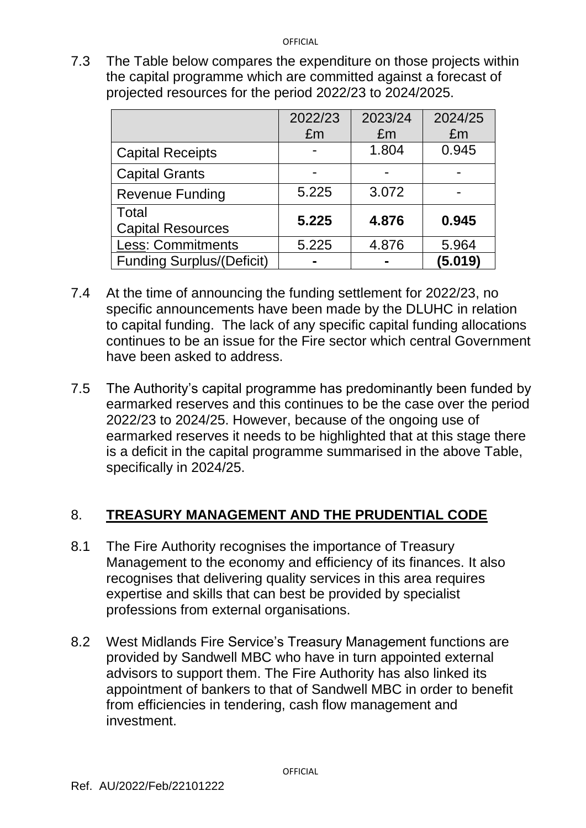7.3 The Table below compares the expenditure on those projects within the capital programme which are committed against a forecast of projected resources for the period 2022/23 to 2024/2025.

|                                  | 2022/23 | 2023/24 | 2024/25 |
|----------------------------------|---------|---------|---------|
|                                  | £m      | £m      | £m      |
| <b>Capital Receipts</b>          |         | 1.804   | 0.945   |
| <b>Capital Grants</b>            | -       | -       |         |
| <b>Revenue Funding</b>           | 5.225   | 3.072   |         |
| Total                            | 5.225   | 4.876   | 0.945   |
| <b>Capital Resources</b>         |         |         |         |
| <b>Less: Commitments</b>         | 5.225   | 4.876   | 5.964   |
| <b>Funding Surplus/(Deficit)</b> |         |         | (5.019) |

- 7.4 At the time of announcing the funding settlement for 2022/23, no specific announcements have been made by the DLUHC in relation to capital funding. The lack of any specific capital funding allocations continues to be an issue for the Fire sector which central Government have been asked to address.
- 7.5 The Authority's capital programme has predominantly been funded by earmarked reserves and this continues to be the case over the period 2022/23 to 2024/25. However, because of the ongoing use of earmarked reserves it needs to be highlighted that at this stage there is a deficit in the capital programme summarised in the above Table, specifically in 2024/25.

# 8. **TREASURY MANAGEMENT AND THE PRUDENTIAL CODE**

- 8.1 The Fire Authority recognises the importance of Treasury Management to the economy and efficiency of its finances. It also recognises that delivering quality services in this area requires expertise and skills that can best be provided by specialist professions from external organisations.
- 8.2 West Midlands Fire Service's Treasury Management functions are provided by Sandwell MBC who have in turn appointed external advisors to support them. The Fire Authority has also linked its appointment of bankers to that of Sandwell MBC in order to benefit from efficiencies in tendering, cash flow management and investment.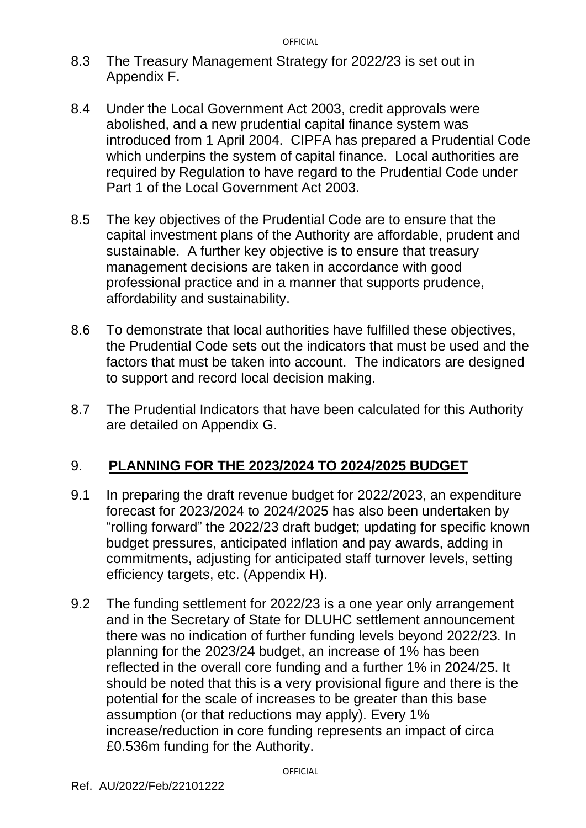- 8.3 The Treasury Management Strategy for 2022/23 is set out in Appendix F.
- 8.4 Under the Local Government Act 2003, credit approvals were abolished, and a new prudential capital finance system was introduced from 1 April 2004. CIPFA has prepared a Prudential Code which underpins the system of capital finance. Local authorities are required by Regulation to have regard to the Prudential Code under Part 1 of the Local Government Act 2003.
- 8.5 The key objectives of the Prudential Code are to ensure that the capital investment plans of the Authority are affordable, prudent and sustainable. A further key objective is to ensure that treasury management decisions are taken in accordance with good professional practice and in a manner that supports prudence, affordability and sustainability.
- 8.6 To demonstrate that local authorities have fulfilled these objectives, the Prudential Code sets out the indicators that must be used and the factors that must be taken into account. The indicators are designed to support and record local decision making.
- 8.7 The Prudential Indicators that have been calculated for this Authority are detailed on Appendix G.

# 9. **PLANNING FOR THE 2023/2024 TO 2024/2025 BUDGET**

- 9.1 In preparing the draft revenue budget for 2022/2023, an expenditure forecast for 2023/2024 to 2024/2025 has also been undertaken by "rolling forward" the 2022/23 draft budget; updating for specific known budget pressures, anticipated inflation and pay awards, adding in commitments, adjusting for anticipated staff turnover levels, setting efficiency targets, etc. (Appendix H).
- 9.2 The funding settlement for 2022/23 is a one year only arrangement and in the Secretary of State for DLUHC settlement announcement there was no indication of further funding levels beyond 2022/23. In planning for the 2023/24 budget, an increase of 1% has been reflected in the overall core funding and a further 1% in 2024/25. It should be noted that this is a very provisional figure and there is the potential for the scale of increases to be greater than this base assumption (or that reductions may apply). Every 1% increase/reduction in core funding represents an impact of circa £0.536m funding for the Authority.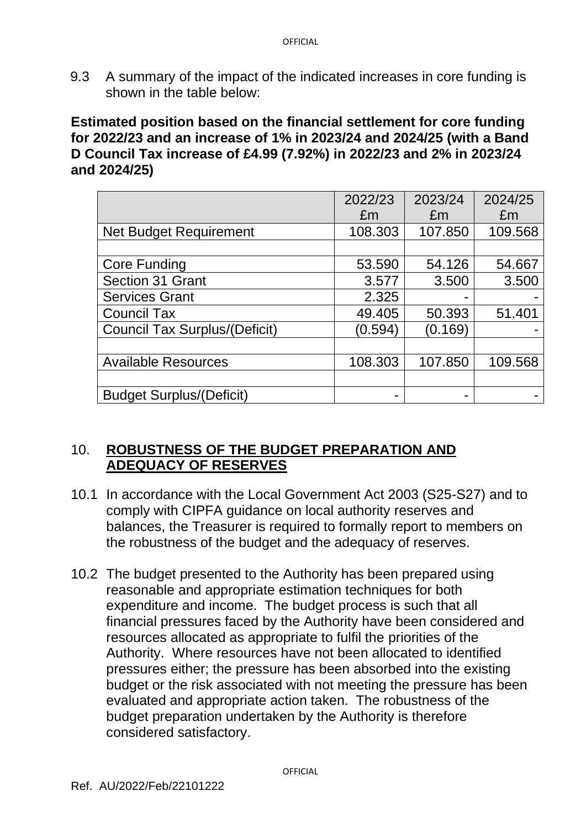9.3 A summary of the impact of the indicated increases in core funding is shown in the table below:

**Estimated position based on the financial settlement for core funding for 2022/23 and an increase of 1% in 2023/24 and 2024/25 (with a Band D Council Tax increase of £4.99 (7.92%) in 2022/23 and 2% in 2023/24 and 2024/25)**

|                                      | 2022/23 | 2023/24 | 2024/25 |
|--------------------------------------|---------|---------|---------|
|                                      | £m      | £m      | £m      |
| <b>Net Budget Requirement</b>        | 108.303 | 107.850 | 109.568 |
|                                      |         |         |         |
| <b>Core Funding</b>                  | 53.590  | 54.126  | 54.667  |
| Section 31 Grant                     | 3.577   | 3.500   | 3.500   |
| <b>Services Grant</b>                | 2.325   |         |         |
| <b>Council Tax</b>                   | 49.405  | 50.393  | 51.401  |
| <b>Council Tax Surplus/(Deficit)</b> | (0.594) | (0.169) |         |
|                                      |         |         |         |
| <b>Available Resources</b>           | 108.303 | 107.850 | 109.568 |
|                                      |         |         |         |
| <b>Budget Surplus/(Deficit)</b>      |         |         |         |

### 10. **ROBUSTNESS OF THE BUDGET PREPARATION AND ADEQUACY OF RESERVES**

- 10.1 In accordance with the Local Government Act 2003 (S25-S27) and to comply with CIPFA guidance on local authority reserves and balances, the Treasurer is required to formally report to members on the robustness of the budget and the adequacy of reserves.
- 10.2 The budget presented to the Authority has been prepared using reasonable and appropriate estimation techniques for both expenditure and income. The budget process is such that all financial pressures faced by the Authority have been considered and resources allocated as appropriate to fulfil the priorities of the Authority. Where resources have not been allocated to identified pressures either; the pressure has been absorbed into the existing budget or the risk associated with not meeting the pressure has been evaluated and appropriate action taken. The robustness of the budget preparation undertaken by the Authority is therefore considered satisfactory.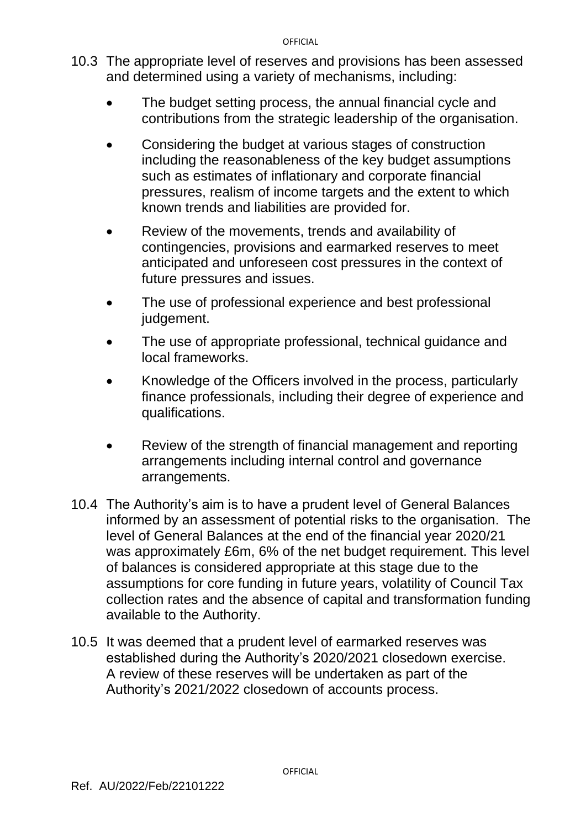- 10.3 The appropriate level of reserves and provisions has been assessed and determined using a variety of mechanisms, including:
	- The budget setting process, the annual financial cycle and contributions from the strategic leadership of the organisation.
	- Considering the budget at various stages of construction including the reasonableness of the key budget assumptions such as estimates of inflationary and corporate financial pressures, realism of income targets and the extent to which known trends and liabilities are provided for.
	- Review of the movements, trends and availability of contingencies, provisions and earmarked reserves to meet anticipated and unforeseen cost pressures in the context of future pressures and issues.
	- The use of professional experience and best professional judgement.
	- The use of appropriate professional, technical guidance and local frameworks.
	- Knowledge of the Officers involved in the process, particularly finance professionals, including their degree of experience and qualifications.
	- Review of the strength of financial management and reporting arrangements including internal control and governance arrangements.
- 10.4 The Authority's aim is to have a prudent level of General Balances informed by an assessment of potential risks to the organisation. The level of General Balances at the end of the financial year 2020/21 was approximately £6m, 6% of the net budget requirement. This level of balances is considered appropriate at this stage due to the assumptions for core funding in future years, volatility of Council Tax collection rates and the absence of capital and transformation funding available to the Authority.
- 10.5 It was deemed that a prudent level of earmarked reserves was established during the Authority's 2020/2021 closedown exercise. A review of these reserves will be undertaken as part of the Authority's 2021/2022 closedown of accounts process.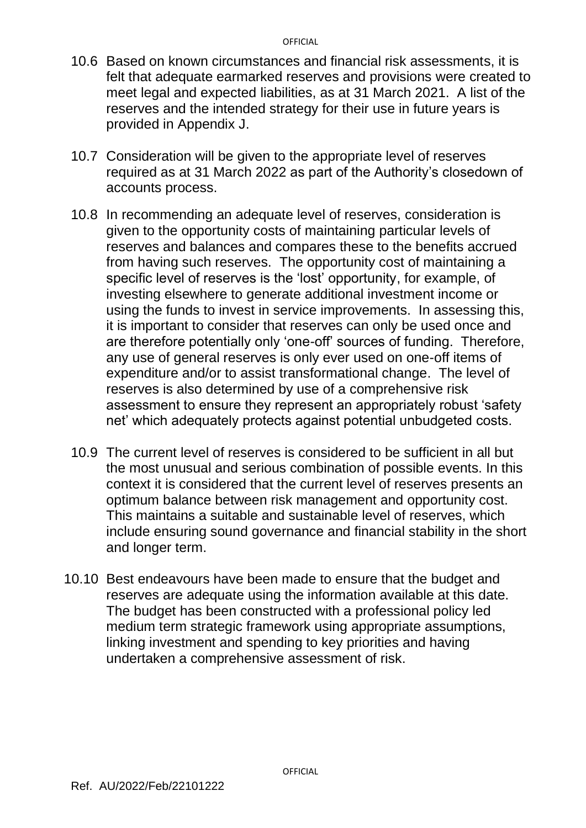- 10.6 Based on known circumstances and financial risk assessments, it is felt that adequate earmarked reserves and provisions were created to meet legal and expected liabilities, as at 31 March 2021. A list of the reserves and the intended strategy for their use in future years is provided in Appendix J.
- 10.7 Consideration will be given to the appropriate level of reserves required as at 31 March 2022 as part of the Authority's closedown of accounts process.
- 10.8 In recommending an adequate level of reserves, consideration is given to the opportunity costs of maintaining particular levels of reserves and balances and compares these to the benefits accrued from having such reserves. The opportunity cost of maintaining a specific level of reserves is the 'lost' opportunity, for example, of investing elsewhere to generate additional investment income or using the funds to invest in service improvements. In assessing this, it is important to consider that reserves can only be used once and are therefore potentially only 'one-off' sources of funding. Therefore, any use of general reserves is only ever used on one-off items of expenditure and/or to assist transformational change. The level of reserves is also determined by use of a comprehensive risk assessment to ensure they represent an appropriately robust 'safety net' which adequately protects against potential unbudgeted costs.
- 10.9 The current level of reserves is considered to be sufficient in all but the most unusual and serious combination of possible events. In this context it is considered that the current level of reserves presents an optimum balance between risk management and opportunity cost. This maintains a suitable and sustainable level of reserves, which include ensuring sound governance and financial stability in the short and longer term.
- 10.10 Best endeavours have been made to ensure that the budget and reserves are adequate using the information available at this date. The budget has been constructed with a professional policy led medium term strategic framework using appropriate assumptions, linking investment and spending to key priorities and having undertaken a comprehensive assessment of risk.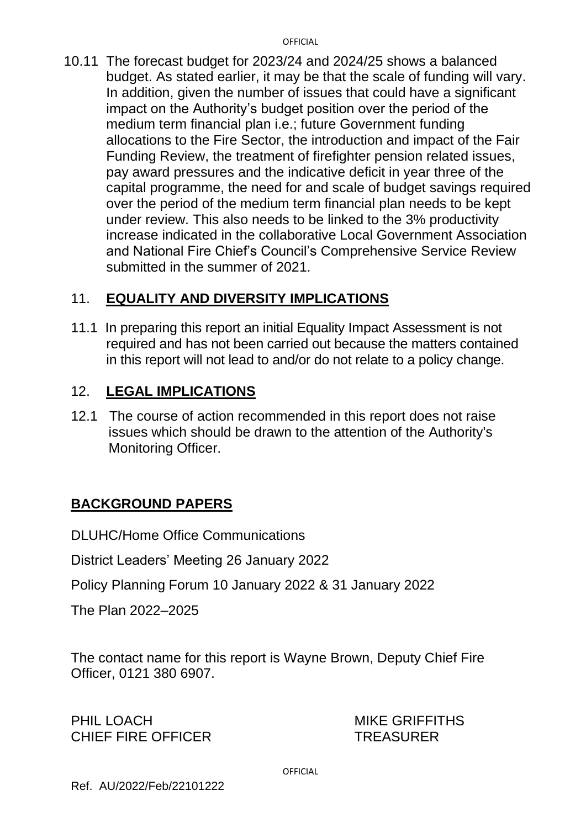10.11 The forecast budget for 2023/24 and 2024/25 shows a balanced budget. As stated earlier, it may be that the scale of funding will vary. In addition, given the number of issues that could have a significant impact on the Authority's budget position over the period of the medium term financial plan i.e.; future Government funding allocations to the Fire Sector, the introduction and impact of the Fair Funding Review, the treatment of firefighter pension related issues, pay award pressures and the indicative deficit in year three of the capital programme, the need for and scale of budget savings required over the period of the medium term financial plan needs to be kept under review. This also needs to be linked to the 3% productivity increase indicated in the collaborative Local Government Association and National Fire Chief's Council's Comprehensive Service Review submitted in the summer of 2021.

# 11. **EQUALITY AND DIVERSITY IMPLICATIONS**

11.1In preparing this report an initial Equality Impact Assessment is not required and has not been carried out because the matters contained in this report will not lead to and/or do not relate to a policy change.

# 12. **LEGAL IMPLICATIONS**

12.1 The course of action recommended in this report does not raise issues which should be drawn to the attention of the Authority's Monitoring Officer.

# **BACKGROUND PAPERS**

DLUHC/Home Office Communications

District Leaders' Meeting 26 January 2022

Policy Planning Forum 10 January 2022 & 31 January 2022

The Plan 2022–2025

The contact name for this report is Wayne Brown, Deputy Chief Fire Officer, 0121 380 6907.

PHIL LOACH MIKE GRIFFITHS CHIEF FIRE OFFICER TREASURER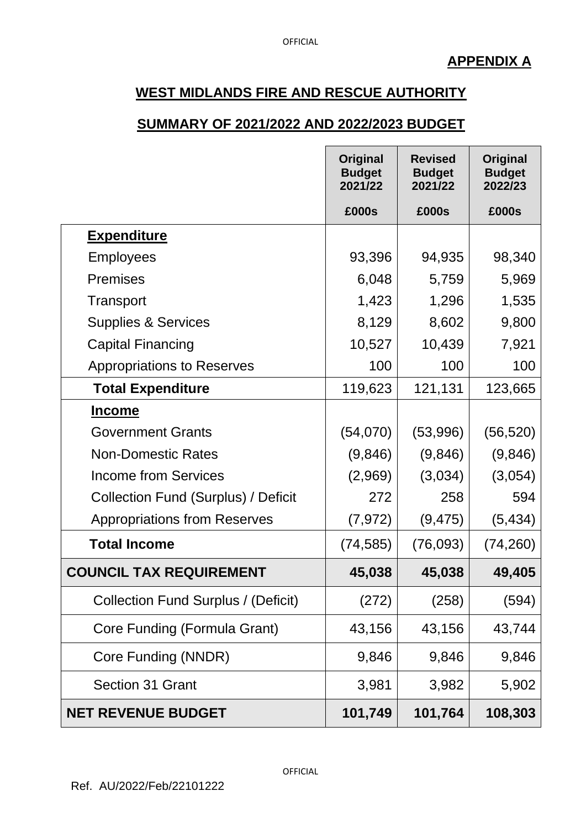#### **SUMMARY OF 2021/2022 AND 2022/2023 BUDGET**

|                                     | Original<br><b>Budget</b><br>2021/22 | <b>Revised</b><br><b>Budget</b><br>2021/22 | Original<br><b>Budget</b><br>2022/23 |
|-------------------------------------|--------------------------------------|--------------------------------------------|--------------------------------------|
|                                     | £000s                                | £000s                                      | £000s                                |
| <b>Expenditure</b>                  |                                      |                                            |                                      |
| <b>Employees</b>                    | 93,396                               | 94,935                                     | 98,340                               |
| <b>Premises</b>                     | 6,048                                | 5,759                                      | 5,969                                |
| Transport                           | 1,423                                | 1,296                                      | 1,535                                |
| <b>Supplies &amp; Services</b>      | 8,129                                | 8,602                                      | 9,800                                |
| <b>Capital Financing</b>            | 10,527                               | 10,439                                     | 7,921                                |
| <b>Appropriations to Reserves</b>   | 100                                  | 100                                        | 100                                  |
| <b>Total Expenditure</b>            | 119,623                              | 121,131                                    | 123,665                              |
| <b>Income</b>                       |                                      |                                            |                                      |
| <b>Government Grants</b>            | (54,070)                             | (53,996)                                   | (56, 520)                            |
| <b>Non-Domestic Rates</b>           | (9,846)                              | (9,846)                                    | (9,846)                              |
| <b>Income from Services</b>         | (2,969)                              | (3,034)                                    | (3,054)                              |
| Collection Fund (Surplus) / Deficit | 272                                  | 258                                        | 594                                  |
| <b>Appropriations from Reserves</b> | (7, 972)                             | (9, 475)                                   | (5, 434)                             |
| <b>Total Income</b>                 | (74, 585)                            | (76,093)                                   | (74, 260)                            |
| <b>COUNCIL TAX REQUIREMENT</b>      | 45,038                               | 45,038                                     | 49,405                               |
| Collection Fund Surplus / (Deficit) | (272)                                | (258)                                      | (594)                                |
| Core Funding (Formula Grant)        | 43,156                               | 43,156                                     | 43,744                               |
| Core Funding (NNDR)                 | 9,846                                | 9,846                                      | 9,846                                |
| Section 31 Grant                    | 3,981                                | 3,982                                      | 5,902                                |
| <b>NET REVENUE BUDGET</b>           | 101,749                              | 101,764                                    | 108,303                              |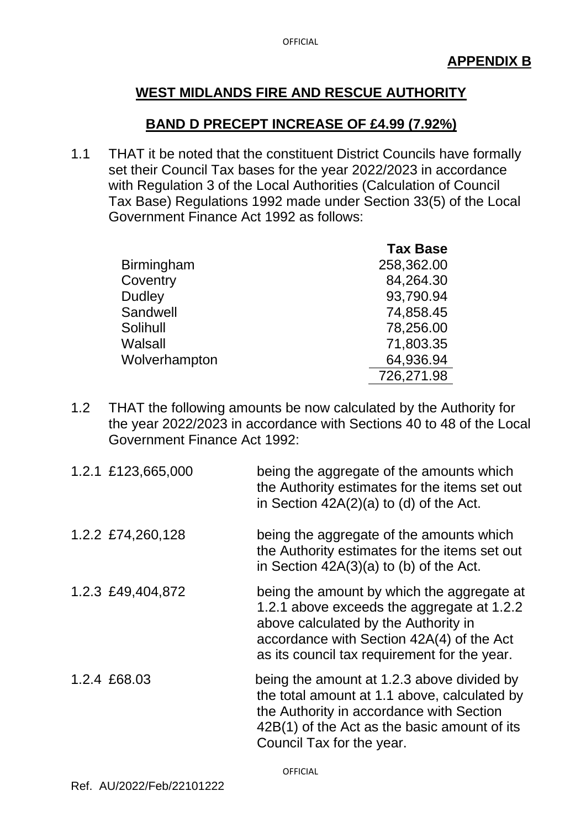#### **BAND D PRECEPT INCREASE OF £4.99 (7.92%)**

1.1 THAT it be noted that the constituent District Councils have formally set their Council Tax bases for the year 2022/2023 in accordance with Regulation 3 of the Local Authorities (Calculation of Council Tax Base) Regulations 1992 made under Section 33(5) of the Local Government Finance Act 1992 as follows:

|                   | <b>Tax Base</b> |
|-------------------|-----------------|
| <b>Birmingham</b> | 258,362.00      |
| Coventry          | 84,264.30       |
| <b>Dudley</b>     | 93,790.94       |
| Sandwell          | 74,858.45       |
| Solihull          | 78,256.00       |
| Walsall           | 71,803.35       |
| Wolverhampton     | 64,936.94       |
|                   | 726,271.98      |

1.2 THAT the following amounts be now calculated by the Authority for the year 2022/2023 in accordance with Sections 40 to 48 of the Local Government Finance Act 1992:

| 1.2.1 £123,665,000 | being the aggregate of the amounts which<br>the Authority estimates for the items set out<br>in Section $42A(2)(a)$ to (d) of the Act.                                                                                        |
|--------------------|-------------------------------------------------------------------------------------------------------------------------------------------------------------------------------------------------------------------------------|
| 1.2.2 £74,260,128  | being the aggregate of the amounts which<br>the Authority estimates for the items set out<br>in Section $42A(3)(a)$ to (b) of the Act.                                                                                        |
| 1.2.3 £49,404,872  | being the amount by which the aggregate at<br>1.2.1 above exceeds the aggregate at 1.2.2<br>above calculated by the Authority in<br>accordance with Section 42A(4) of the Act<br>as its council tax requirement for the year. |
| 1.2.4 £68.03       | being the amount at 1.2.3 above divided by<br>the total amount at 1.1 above, calculated by<br>the Authority in accordance with Section<br>42B(1) of the Act as the basic amount of its<br>Council Tax for the year.           |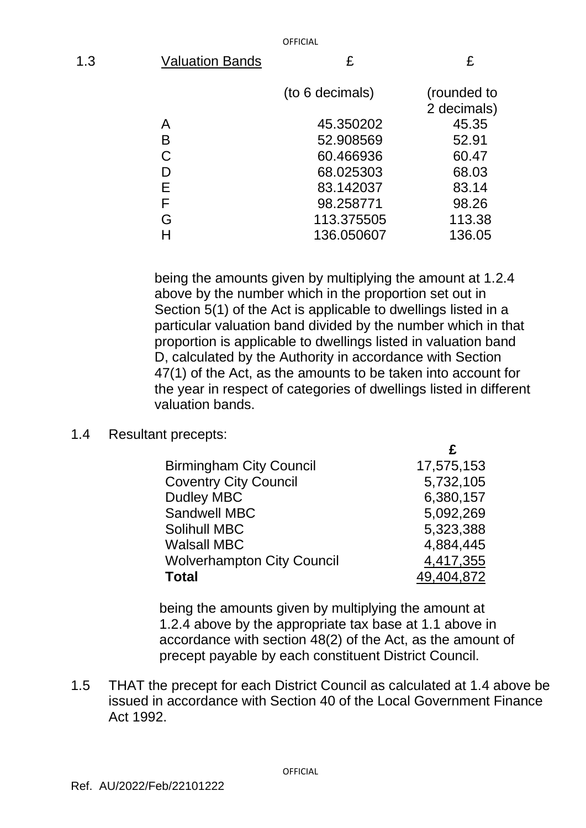| 1.3 | <b>Valuation Bands</b> | £               | £                          |
|-----|------------------------|-----------------|----------------------------|
|     |                        | (to 6 decimals) | (rounded to<br>2 decimals) |
|     | А                      | 45.350202       | 45.35                      |
|     | B                      | 52.908569       | 52.91                      |
|     | С                      | 60.466936       | 60.47                      |
|     |                        | 68.025303       | 68.03                      |
|     | Е                      | 83.142037       | 83.14                      |
|     |                        | 98.258771       | 98.26                      |

being the amounts given by multiplying the amount at 1.2.4 above by the number which in the proportion set out in Section 5(1) of the Act is applicable to dwellings listed in a particular valuation band divided by the number which in that proportion is applicable to dwellings listed in valuation band D, calculated by the Authority in accordance with Section 47(1) of the Act, as the amounts to be taken into account for the year in respect of categories of dwellings listed in different valuation bands.

 **£**

G 113.375505 113.38 H 136.050607 136.05

#### 1.4 Resultant precepts:

| <b>Birmingham City Council</b>    | 17,575,153 |
|-----------------------------------|------------|
| <b>Coventry City Council</b>      | 5,732,105  |
| <b>Dudley MBC</b>                 | 6,380,157  |
| <b>Sandwell MBC</b>               | 5,092,269  |
| <b>Solihull MBC</b>               | 5,323,388  |
| <b>Walsall MBC</b>                | 4,884,445  |
| <b>Wolverhampton City Council</b> | 4,417,355  |
| <b>Total</b>                      | 49,404,872 |

being the amounts given by multiplying the amount at 1.2.4 above by the appropriate tax base at 1.1 above in accordance with section 48(2) of the Act, as the amount of precept payable by each constituent District Council.

1.5 THAT the precept for each District Council as calculated at 1.4 above be issued in accordance with Section 40 of the Local Government Finance Act 1992.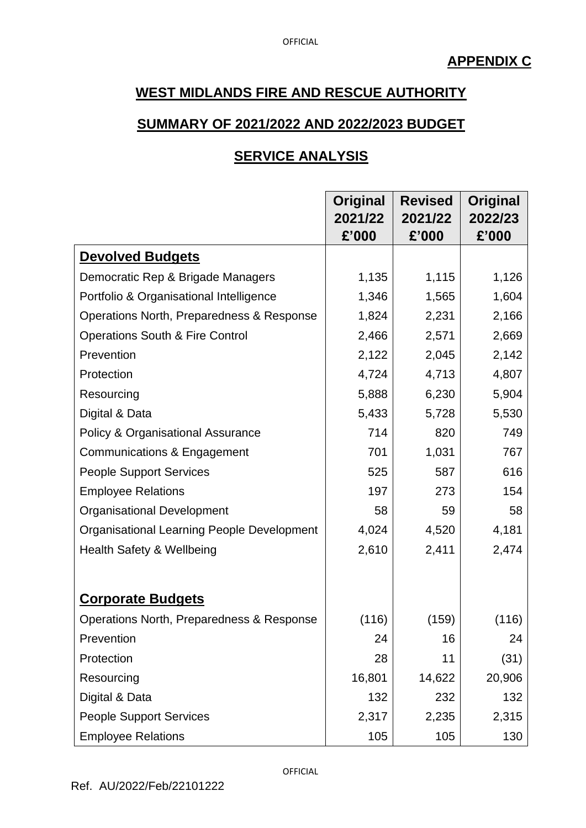#### **SUMMARY OF 2021/2022 AND 2022/2023 BUDGET**

### **SERVICE ANALYSIS**

|                                                   | Original | <b>Revised</b> | Original |
|---------------------------------------------------|----------|----------------|----------|
|                                                   | 2021/22  | 2021/22        | 2022/23  |
|                                                   | £'000    | £'000          | £'000    |
| <b>Devolved Budgets</b>                           |          |                |          |
| Democratic Rep & Brigade Managers                 | 1,135    | 1,115          | 1,126    |
| Portfolio & Organisational Intelligence           | 1,346    | 1,565          | 1,604    |
| Operations North, Preparedness & Response         | 1,824    | 2,231          | 2,166    |
| <b>Operations South &amp; Fire Control</b>        | 2,466    | 2,571          | 2,669    |
| Prevention                                        | 2,122    | 2,045          | 2,142    |
| Protection                                        | 4,724    | 4,713          | 4,807    |
| Resourcing                                        | 5,888    | 6,230          | 5,904    |
| Digital & Data                                    | 5,433    | 5,728          | 5,530    |
| <b>Policy &amp; Organisational Assurance</b>      | 714      | 820            | 749      |
| Communications & Engagement                       | 701      | 1,031          | 767      |
| <b>People Support Services</b>                    | 525      | 587            | 616      |
| <b>Employee Relations</b>                         | 197      | 273            | 154      |
| <b>Organisational Development</b>                 | 58       | 59             | 58       |
| <b>Organisational Learning People Development</b> | 4,024    | 4,520          | 4,181    |
| Health Safety & Wellbeing                         | 2,610    | 2,411          | 2,474    |
|                                                   |          |                |          |
| <b>Corporate Budgets</b>                          |          |                |          |
| Operations North, Preparedness & Response         | (116)    | (159)          | (116)    |
| Prevention                                        | 24       | 16             | 24       |
| Protection                                        | 28       | 11             | (31)     |
| Resourcing                                        | 16,801   | 14,622         | 20,906   |
| Digital & Data                                    | 132      | 232            | 132      |
| <b>People Support Services</b>                    | 2,317    | 2,235          | 2,315    |
| <b>Employee Relations</b>                         | 105      | 105            | 130      |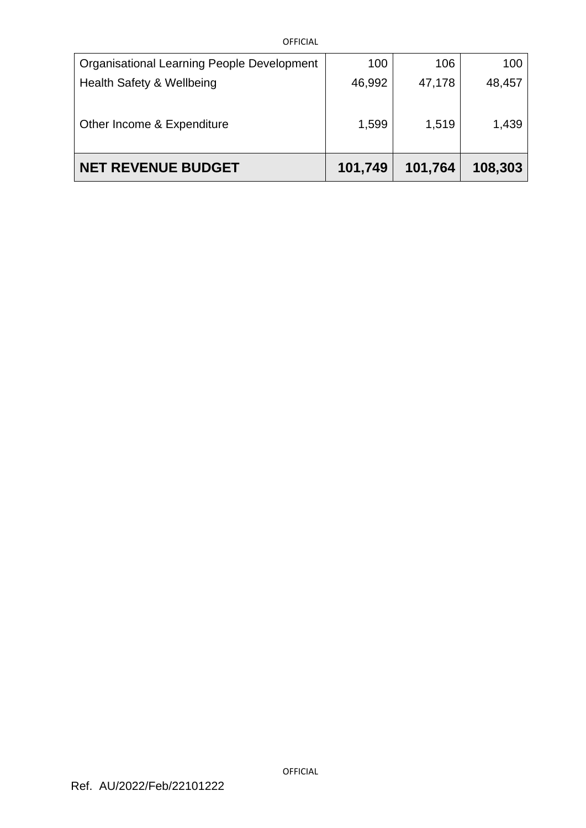| OFFICIAL                                   |         |         |         |
|--------------------------------------------|---------|---------|---------|
| Organisational Learning People Development | 100     | 106     | 100     |
| Health Safety & Wellbeing                  | 46,992  | 47,178  | 48,457  |
| Other Income & Expenditure                 | 1,599   | 1,519   | 1,439   |
| <b>NET REVENUE BUDGET</b>                  | 101,749 | 101,764 | 108,303 |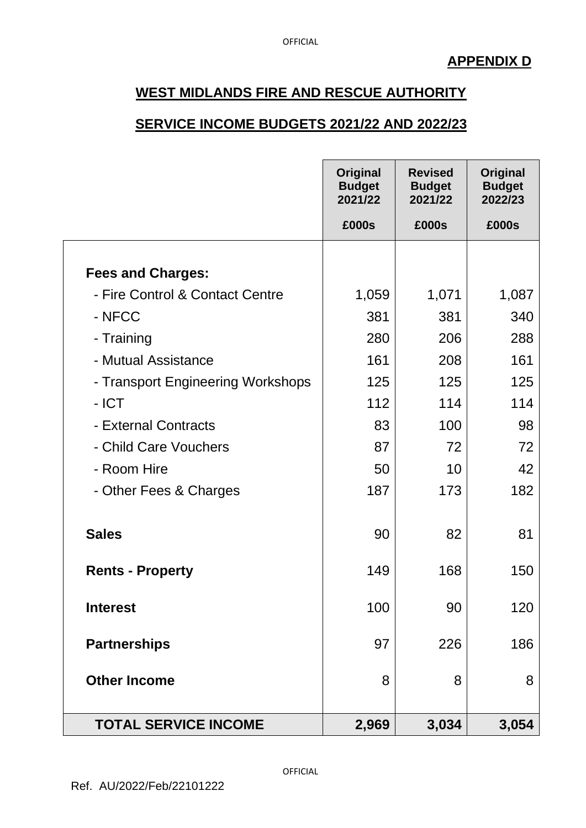#### **SERVICE INCOME BUDGETS 2021/22 AND 2022/23**

|                                   | Original<br><b>Budget</b><br>2021/22 | <b>Revised</b><br><b>Budget</b><br>2021/22 | Original<br><b>Budget</b><br>2022/23 |
|-----------------------------------|--------------------------------------|--------------------------------------------|--------------------------------------|
|                                   | £000s                                | £000s                                      | £000s                                |
|                                   |                                      |                                            |                                      |
| <b>Fees and Charges:</b>          |                                      |                                            |                                      |
| - Fire Control & Contact Centre   | 1,059                                | 1,071                                      | 1,087                                |
| - NFCC                            | 381                                  | 381                                        | 340                                  |
| - Training                        | 280                                  | 206                                        | 288                                  |
| - Mutual Assistance               | 161                                  | 208                                        | 161                                  |
| - Transport Engineering Workshops | 125                                  | 125                                        | 125                                  |
| - ICT                             | 112                                  | 114                                        | 114                                  |
| - External Contracts              | 83                                   | 100                                        | 98                                   |
| - Child Care Vouchers             | 87                                   | 72                                         | 72                                   |
| - Room Hire                       | 50                                   | 10                                         | 42                                   |
| - Other Fees & Charges            | 187                                  | 173                                        | 182                                  |
| <b>Sales</b>                      | 90                                   | 82                                         | 81                                   |
| <b>Rents - Property</b>           | 149                                  | 168                                        | 150                                  |
| <b>Interest</b>                   | 100                                  | 90                                         | 120                                  |
| <b>Partnerships</b>               | 97                                   | 226                                        | 186                                  |
| <b>Other Income</b>               | 8                                    | 8                                          | 8                                    |
| <b>TOTAL SERVICE INCOME</b>       | 2,969                                | 3,034                                      | 3,054                                |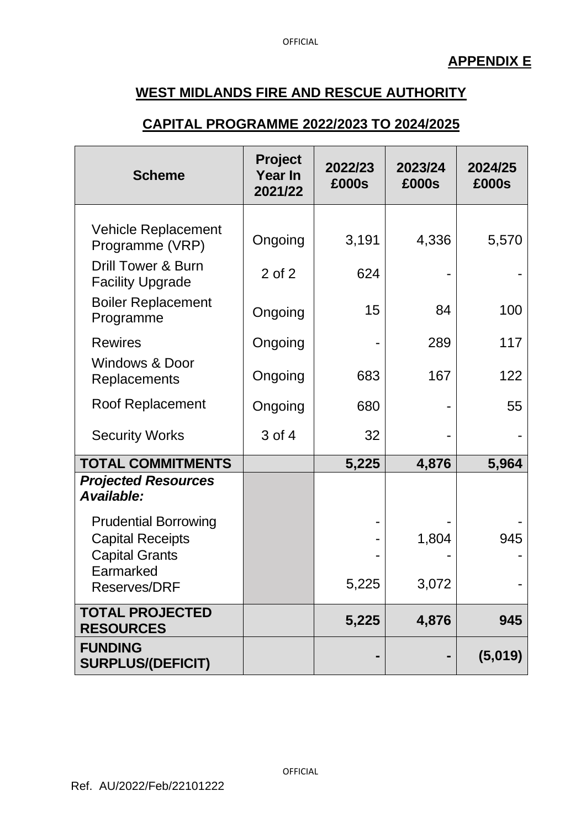#### **CAPITAL PROGRAMME 2022/2023 TO 2024/2025**

| <b>Scheme</b>                                                                                                       | <b>Project</b><br><b>Year In</b><br>2021/22 | 2022/23<br>£000s | 2023/24<br>£000s | 2024/25<br>£000s |
|---------------------------------------------------------------------------------------------------------------------|---------------------------------------------|------------------|------------------|------------------|
| <b>Vehicle Replacement</b><br>Programme (VRP)<br><b>Drill Tower &amp; Burn</b><br><b>Facility Upgrade</b>           | Ongoing<br>$2$ of $2$                       | 3,191<br>624     | 4,336            | 5,570            |
| <b>Boiler Replacement</b><br>Programme                                                                              | Ongoing                                     | 15               | 84               | 100              |
| <b>Rewires</b><br><b>Windows &amp; Door</b>                                                                         | Ongoing                                     |                  | 289              | 117              |
| Replacements                                                                                                        | Ongoing                                     | 683              | 167              | 122              |
| <b>Roof Replacement</b>                                                                                             | Ongoing                                     | 680              |                  | 55               |
| <b>Security Works</b>                                                                                               | 3 of 4                                      | 32               |                  |                  |
| <b>TOTAL COMMITMENTS</b>                                                                                            |                                             | 5,225            | 4,876            | 5,964            |
| <b>Projected Resources</b><br>Available:                                                                            |                                             |                  |                  |                  |
| <b>Prudential Borrowing</b><br><b>Capital Receipts</b><br><b>Capital Grants</b><br>Earmarked<br><b>Reserves/DRF</b> |                                             | 5,225            | 1,804<br>3,072   | 945              |
| <b>TOTAL PROJECTED</b><br><b>RESOURCES</b>                                                                          |                                             | 5,225            | 4,876            | 945              |
| <b>FUNDING</b><br><b>SURPLUS/(DEFICIT)</b>                                                                          |                                             |                  |                  | (5,019)          |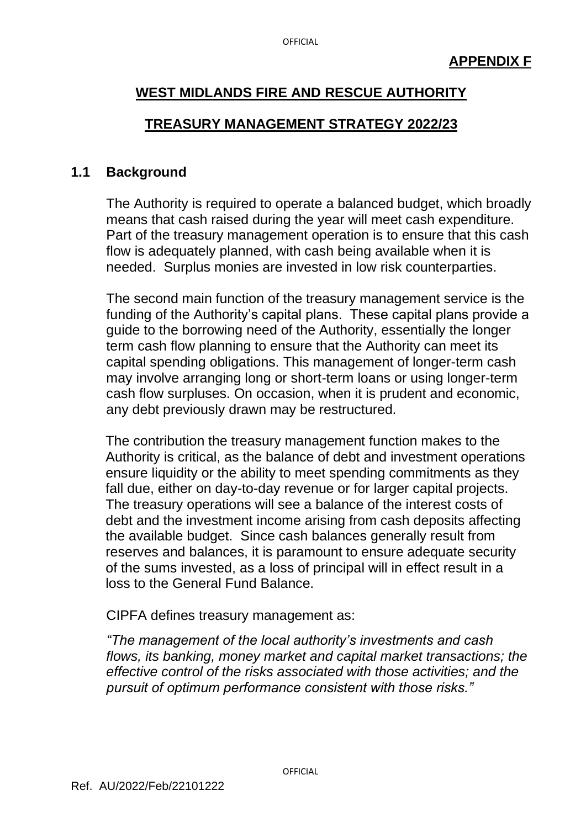#### **TREASURY MANAGEMENT STRATEGY 2022/23**

#### **1.1 Background**

The Authority is required to operate a balanced budget, which broadly means that cash raised during the year will meet cash expenditure. Part of the treasury management operation is to ensure that this cash flow is adequately planned, with cash being available when it is needed. Surplus monies are invested in low risk counterparties.

The second main function of the treasury management service is the funding of the Authority's capital plans. These capital plans provide a guide to the borrowing need of the Authority, essentially the longer term cash flow planning to ensure that the Authority can meet its capital spending obligations. This management of longer-term cash may involve arranging long or short-term loans or using longer-term cash flow surpluses. On occasion, when it is prudent and economic, any debt previously drawn may be restructured.

The contribution the treasury management function makes to the Authority is critical, as the balance of debt and investment operations ensure liquidity or the ability to meet spending commitments as they fall due, either on day-to-day revenue or for larger capital projects. The treasury operations will see a balance of the interest costs of debt and the investment income arising from cash deposits affecting the available budget. Since cash balances generally result from reserves and balances, it is paramount to ensure adequate security of the sums invested, as a loss of principal will in effect result in a loss to the General Fund Balance.

CIPFA defines treasury management as:

*"The management of the local authority's investments and cash flows, its banking, money market and capital market transactions; the effective control of the risks associated with those activities; and the pursuit of optimum performance consistent with those risks."*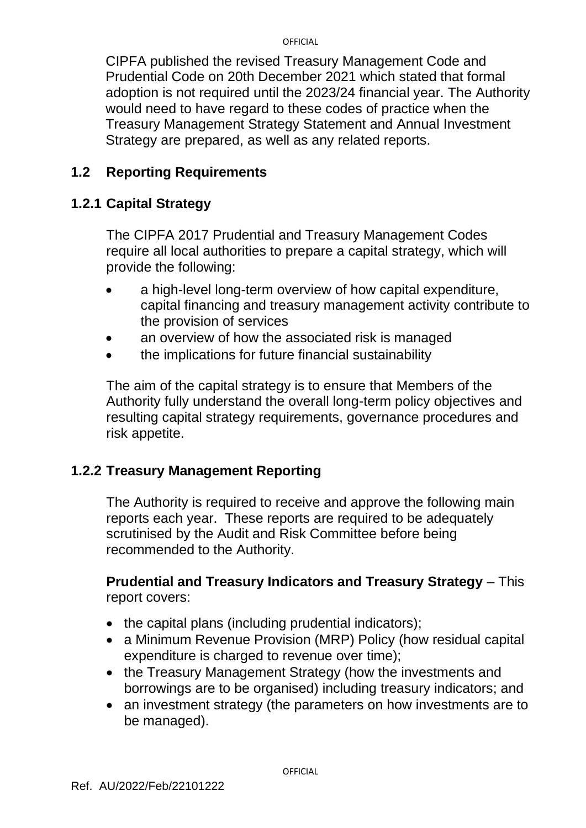CIPFA published the revised Treasury Management Code and Prudential Code on 20th December 2021 which stated that formal adoption is not required until the 2023/24 financial year. The Authority would need to have regard to these codes of practice when the Treasury Management Strategy Statement and Annual Investment Strategy are prepared, as well as any related reports.

# **1.2 Reporting Requirements**

# **1.2.1 Capital Strategy**

The CIPFA 2017 Prudential and Treasury Management Codes require all local authorities to prepare a capital strategy, which will provide the following:

- a high-level long-term overview of how capital expenditure, capital financing and treasury management activity contribute to the provision of services
- an overview of how the associated risk is managed
- the implications for future financial sustainability

The aim of the capital strategy is to ensure that Members of the Authority fully understand the overall long-term policy objectives and resulting capital strategy requirements, governance procedures and risk appetite.

# **1.2.2 Treasury Management Reporting**

The Authority is required to receive and approve the following main reports each year. These reports are required to be adequately scrutinised by the Audit and Risk Committee before being recommended to the Authority.

#### **Prudential and Treasury Indicators and Treasury Strategy** – This report covers:

- the capital plans (including prudential indicators);
- a Minimum Revenue Provision (MRP) Policy (how residual capital expenditure is charged to revenue over time);
- the Treasury Management Strategy (how the investments and borrowings are to be organised) including treasury indicators; and
- an investment strategy (the parameters on how investments are to be managed).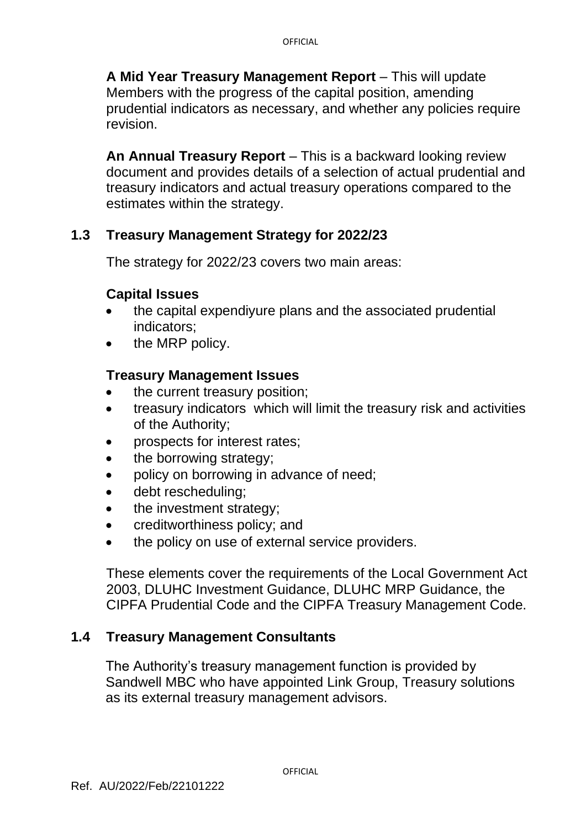**A Mid Year Treasury Management Report** – This will update Members with the progress of the capital position, amending prudential indicators as necessary, and whether any policies require revision.

**An Annual Treasury Report** – This is a backward looking review document and provides details of a selection of actual prudential and treasury indicators and actual treasury operations compared to the estimates within the strategy.

### **1.3 Treasury Management Strategy for 2022/23**

The strategy for 2022/23 covers two main areas:

#### **Capital Issues**

- the capital expendiyure plans and the associated prudential indicators;
- the MRP policy.

### **Treasury Management Issues**

- the current treasury position;
- treasury indicators which will limit the treasury risk and activities of the Authority;
- prospects for interest rates;
- the borrowing strategy;
- policy on borrowing in advance of need;
- debt rescheduling;
- the investment strategy;
- creditworthiness policy; and
- the policy on use of external service providers.

These elements cover the requirements of the Local Government Act 2003, DLUHC Investment Guidance, DLUHC MRP Guidance, the CIPFA Prudential Code and the CIPFA Treasury Management Code.

# **1.4 Treasury Management Consultants**

The Authority's treasury management function is provided by Sandwell MBC who have appointed Link Group, Treasury solutions as its external treasury management advisors.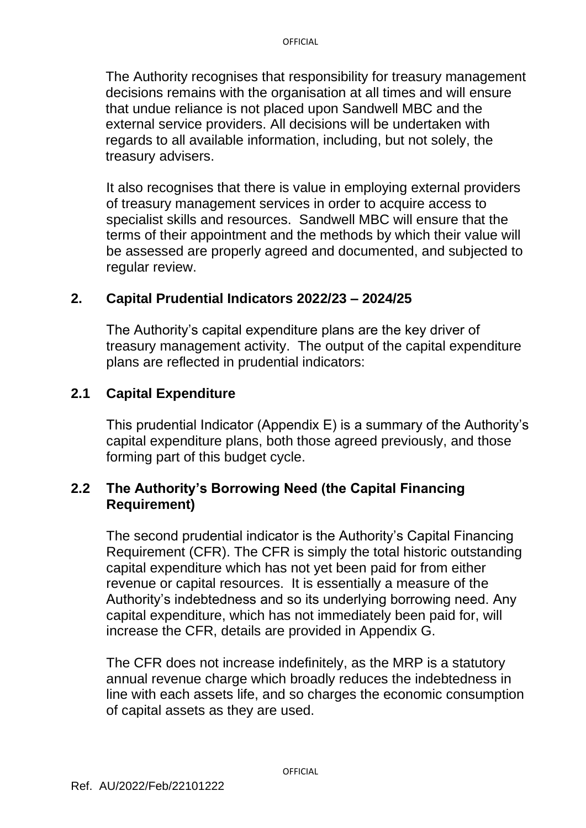The Authority recognises that responsibility for treasury management decisions remains with the organisation at all times and will ensure that undue reliance is not placed upon Sandwell MBC and the external service providers. All decisions will be undertaken with regards to all available information, including, but not solely, the treasury advisers.

It also recognises that there is value in employing external providers of treasury management services in order to acquire access to specialist skills and resources. Sandwell MBC will ensure that the terms of their appointment and the methods by which their value will be assessed are properly agreed and documented, and subjected to regular review.

#### **2. Capital Prudential Indicators 2022/23 – 2024/25**

The Authority's capital expenditure plans are the key driver of treasury management activity. The output of the capital expenditure plans are reflected in prudential indicators:

#### **2.1 Capital Expenditure**

This prudential Indicator (Appendix E) is a summary of the Authority's capital expenditure plans, both those agreed previously, and those forming part of this budget cycle.

#### **2.2 The Authority's Borrowing Need (the Capital Financing Requirement)**

The second prudential indicator is the Authority's Capital Financing Requirement (CFR). The CFR is simply the total historic outstanding capital expenditure which has not yet been paid for from either revenue or capital resources. It is essentially a measure of the Authority's indebtedness and so its underlying borrowing need. Any capital expenditure, which has not immediately been paid for, will increase the CFR, details are provided in Appendix G.

The CFR does not increase indefinitely, as the MRP is a statutory annual revenue charge which broadly reduces the indebtedness in line with each assets life, and so charges the economic consumption of capital assets as they are used.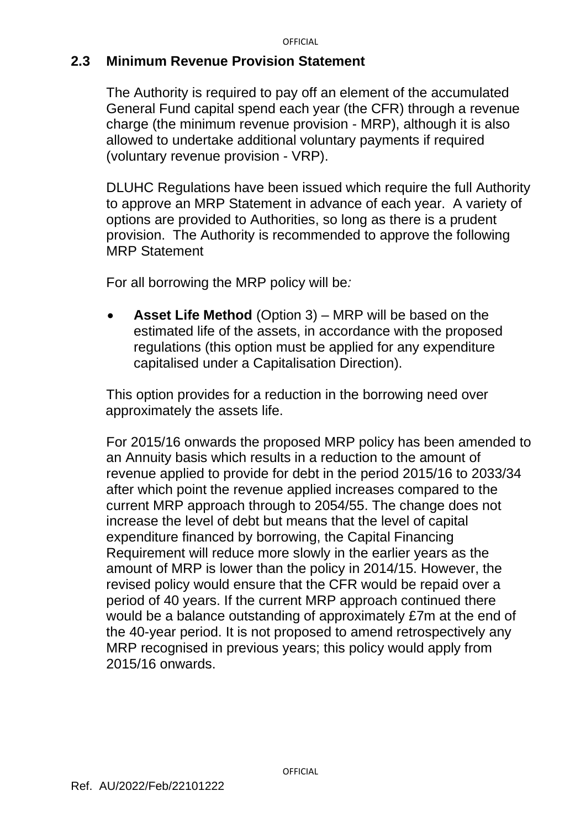#### **2.3 Minimum Revenue Provision Statement**

The Authority is required to pay off an element of the accumulated General Fund capital spend each year (the CFR) through a revenue charge (the minimum revenue provision - MRP), although it is also allowed to undertake additional voluntary payments if required (voluntary revenue provision - VRP).

DLUHC Regulations have been issued which require the full Authority to approve an MRP Statement in advance of each year. A variety of options are provided to Authorities, so long as there is a prudent provision. The Authority is recommended to approve the following MRP Statement

For all borrowing the MRP policy will be*:*

• **Asset Life Method** (Option 3) – MRP will be based on the estimated life of the assets, in accordance with the proposed regulations (this option must be applied for any expenditure capitalised under a Capitalisation Direction).

This option provides for a reduction in the borrowing need over approximately the assets life.

For 2015/16 onwards the proposed MRP policy has been amended to an Annuity basis which results in a reduction to the amount of revenue applied to provide for debt in the period 2015/16 to 2033/34 after which point the revenue applied increases compared to the current MRP approach through to 2054/55. The change does not increase the level of debt but means that the level of capital expenditure financed by borrowing, the Capital Financing Requirement will reduce more slowly in the earlier years as the amount of MRP is lower than the policy in 2014/15. However, the revised policy would ensure that the CFR would be repaid over a period of 40 years. If the current MRP approach continued there would be a balance outstanding of approximately £7m at the end of the 40-year period. It is not proposed to amend retrospectively any MRP recognised in previous years; this policy would apply from 2015/16 onwards.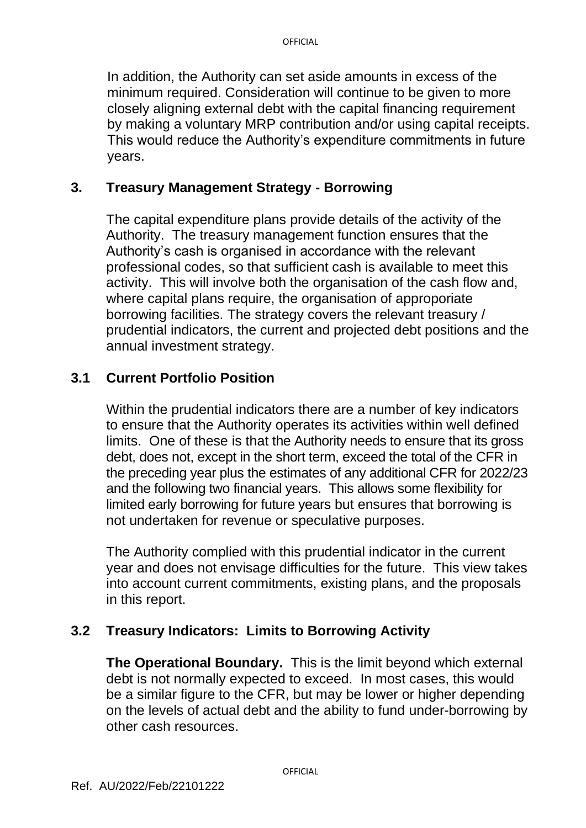In addition, the Authority can set aside amounts in excess of the minimum required. Consideration will continue to be given to more closely aligning external debt with the capital financing requirement by making a voluntary MRP contribution and/or using capital receipts. This would reduce the Authority's expenditure commitments in future years.

### **3. Treasury Management Strategy - Borrowing**

The capital expenditure plans provide details of the activity of the Authority. The treasury management function ensures that the Authority's cash is organised in accordance with the relevant professional codes, so that sufficient cash is available to meet this activity. This will involve both the organisation of the cash flow and, where capital plans require, the organisation of approporiate borrowing facilities. The strategy covers the relevant treasury / prudential indicators, the current and projected debt positions and the annual investment strategy.

# **3.1 Current Portfolio Position**

Within the prudential indicators there are a number of key indicators to ensure that the Authority operates its activities within well defined limits. One of these is that the Authority needs to ensure that its gross debt, does not, except in the short term, exceed the total of the CFR in the preceding year plus the estimates of any additional CFR for 2022/23 and the following two financial years. This allows some flexibility for limited early borrowing for future years but ensures that borrowing is not undertaken for revenue or speculative purposes.

The Authority complied with this prudential indicator in the current year and does not envisage difficulties for the future. This view takes into account current commitments, existing plans, and the proposals in this report.

#### **3.2 Treasury Indicators: Limits to Borrowing Activity**

**The Operational Boundary.** This is the limit beyond which external debt is not normally expected to exceed. In most cases, this would be a similar figure to the CFR, but may be lower or higher depending on the levels of actual debt and the ability to fund under-borrowing by other cash resources.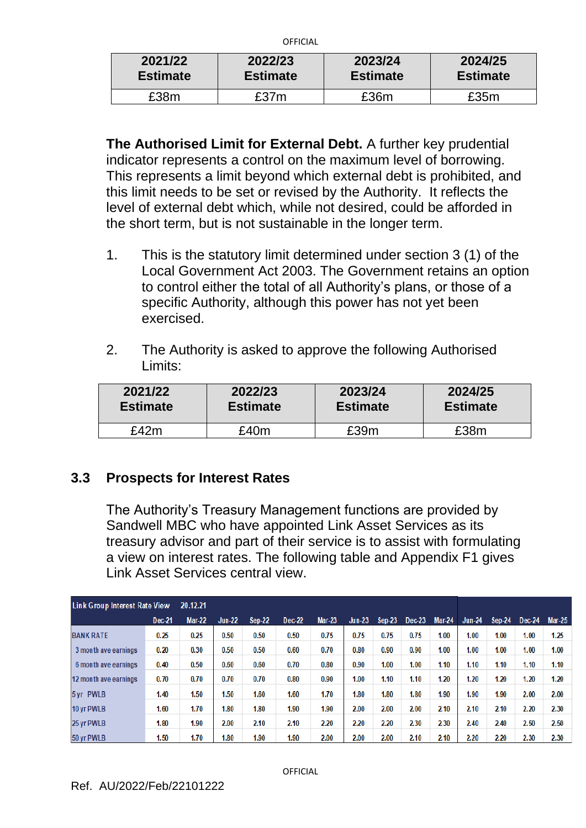| 2021/22         | 2022/23         | 2023/24         | 2024/25         |  |  |
|-----------------|-----------------|-----------------|-----------------|--|--|
| <b>Estimate</b> | <b>Estimate</b> | <b>Estimate</b> | <b>Estimate</b> |  |  |
| £38m            | £37m            | £36m            | £35m            |  |  |

**The Authorised Limit for External Debt.** A further key prudential indicator represents a control on the maximum level of borrowing. This represents a limit beyond which external debt is prohibited, and this limit needs to be set or revised by the Authority. It reflects the level of external debt which, while not desired, could be afforded in the short term, but is not sustainable in the longer term.

- 1. This is the statutory limit determined under section 3 (1) of the Local Government Act 2003. The Government retains an option to control either the total of all Authority's plans, or those of a specific Authority, although this power has not yet been exercised.
- 2. The Authority is asked to approve the following Authorised Limits:

| 2021/22         | 2022/23         | 2023/24         | 2024/25         |
|-----------------|-----------------|-----------------|-----------------|
| <b>Estimate</b> | <b>Estimate</b> | <b>Estimate</b> | <b>Estimate</b> |
| f42m            | 240m            | £39m            | £38m            |

# **3.3 Prospects for Interest Rates**

The Authority's Treasury Management functions are provided by Sandwell MBC who have appointed Link Asset Services as its treasury advisor and part of their service is to assist with formulating a view on interest rates. The following table and Appendix F1 gives Link Asset Services central view.

| <b>Link Group Interest Rate View</b><br>20.12.21 |        |               |               |               |        |               |          |          |        |               |          |          |          |          |
|--------------------------------------------------|--------|---------------|---------------|---------------|--------|---------------|----------|----------|--------|---------------|----------|----------|----------|----------|
|                                                  | Dec-21 | <b>Mar-22</b> | <b>Jun-22</b> | <b>Sep-22</b> | Dec-22 | <b>Mar-23</b> | $Jun-23$ | $Sep-23$ | Dec-23 | <b>Mar-24</b> | $Jun-24$ | $Sep-24$ | $Dec-24$ | $Mar-25$ |
| <b>BANK RATE</b>                                 | 0.25   | 0.25          | 0.50          | 0.50          | 0.50   | 0.75          | 0.75     | 0.75     | 0.75   | 1.00          | 1.00     | 1.00     | 1.00     | 1.25     |
| 3 month ave earnings                             | 0.20   | 0.30          | 0.50          | 0.50          | 0.60   | 0.70          | 0.80     | 0.90     | 0.90   | 1.00          | 1.00     | 1.00     | 1.00     | 1.00     |
| 6 month ave earnings                             | 0.40   | 0.50          | 0.60          | 0.60          | 0.70   | 0.80          | 0.90     | 1.00     | 1.00   | 1.10          | 1.10     | 1.10     | 1.10     | 1.10     |
| 12 month ave earnings                            | 0.70   | 0.70          | 0.70          | 0.70          | 0.80   | 0.90          | 1.00     | 1.10     | 1.10   | 1.20          | 1.20     | 1.20     | 1.20     | 1,20     |
| 5 yr PWLB                                        | 1.40   | 1.50          | 1.50          | 1.60          | 1.60   | 1.70          | 1.80     | 1.80     | 1.80   | 1.90          | 1.90     | 1.90     | 2.00     | 2.00     |
| 10 yr PWLB                                       | 1.60   | 1.70          | 1.80          | 1.80          | 1.90   | 1.90          | 2.00     | 2.00     | 2.00   | 2.10          | 2.10     | 2.10     | 2.20     | 2.30     |
| 25 yr PWLB                                       | 1.80   | 1.90          | 2.00          | 2.10          | 2.10   | 2.20          | 2.20     | 2.20     | 2.30   | 2.30          | 2.40     | 2.40     | 2.50     | 2.50     |
| 50 yr PWLB                                       | 1.50   | 1.70          | 1.80          | 1.90          | 1.90   | 2.00          | 2.00     | 2.00     | 2.10   | 2.10          | 2.20     | 2.20     | 2.30     | 2.30     |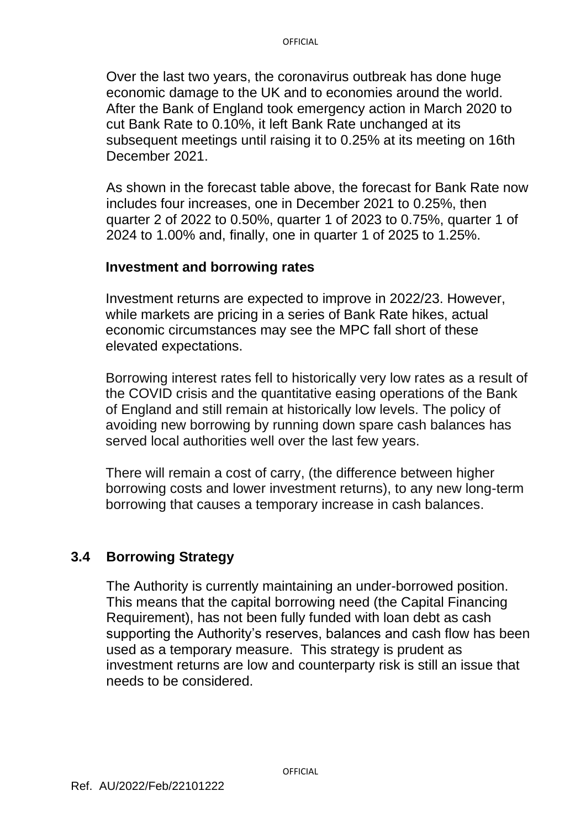Over the last two years, the coronavirus outbreak has done huge economic damage to the UK and to economies around the world. After the Bank of England took emergency action in March 2020 to cut Bank Rate to 0.10%, it left Bank Rate unchanged at its subsequent meetings until raising it to 0.25% at its meeting on 16th December 2021.

As shown in the forecast table above, the forecast for Bank Rate now includes four increases, one in December 2021 to 0.25%, then quarter 2 of 2022 to 0.50%, quarter 1 of 2023 to 0.75%, quarter 1 of 2024 to 1.00% and, finally, one in quarter 1 of 2025 to 1.25%.

#### **Investment and borrowing rates**

Investment returns are expected to improve in 2022/23. However, while markets are pricing in a series of Bank Rate hikes, actual economic circumstances may see the MPC fall short of these elevated expectations.

Borrowing interest rates fell to historically very low rates as a result of the COVID crisis and the quantitative easing operations of the Bank of England and still remain at historically low levels. The policy of avoiding new borrowing by running down spare cash balances has served local authorities well over the last few years.

There will remain a cost of carry, (the difference between higher borrowing costs and lower investment returns), to any new long-term borrowing that causes a temporary increase in cash balances.

#### **3.4 Borrowing Strategy**

The Authority is currently maintaining an under-borrowed position. This means that the capital borrowing need (the Capital Financing Requirement), has not been fully funded with loan debt as cash supporting the Authority's reserves, balances and cash flow has been used as a temporary measure. This strategy is prudent as investment returns are low and counterparty risk is still an issue that needs to be considered.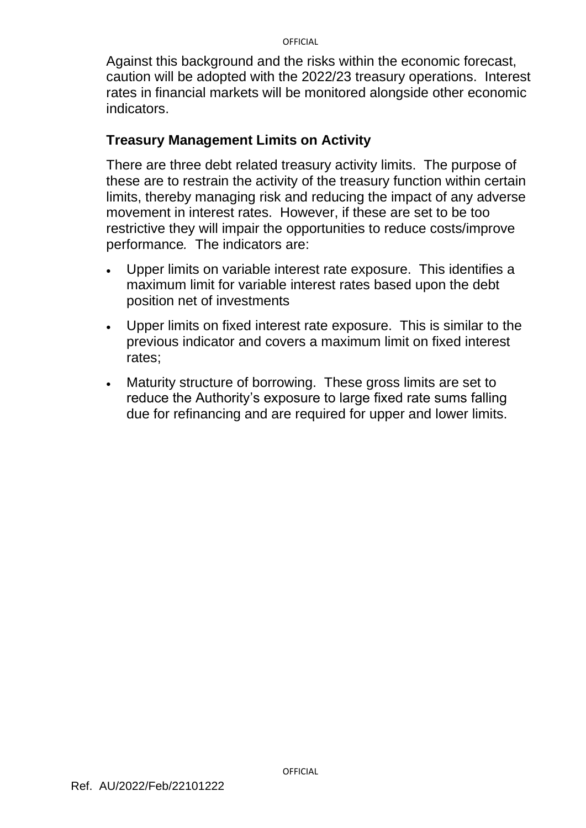Against this background and the risks within the economic forecast, caution will be adopted with the 2022/23 treasury operations. Interest rates in financial markets will be monitored alongside other economic indicators.

### **Treasury Management Limits on Activity**

There are three debt related treasury activity limits. The purpose of these are to restrain the activity of the treasury function within certain limits, thereby managing risk and reducing the impact of any adverse movement in interest rates. However, if these are set to be too restrictive they will impair the opportunities to reduce costs/improve performance*.* The indicators are:

- Upper limits on variable interest rate exposure. This identifies a maximum limit for variable interest rates based upon the debt position net of investments
- Upper limits on fixed interest rate exposure. This is similar to the previous indicator and covers a maximum limit on fixed interest rates;
- Maturity structure of borrowing. These gross limits are set to reduce the Authority's exposure to large fixed rate sums falling due for refinancing and are required for upper and lower limits.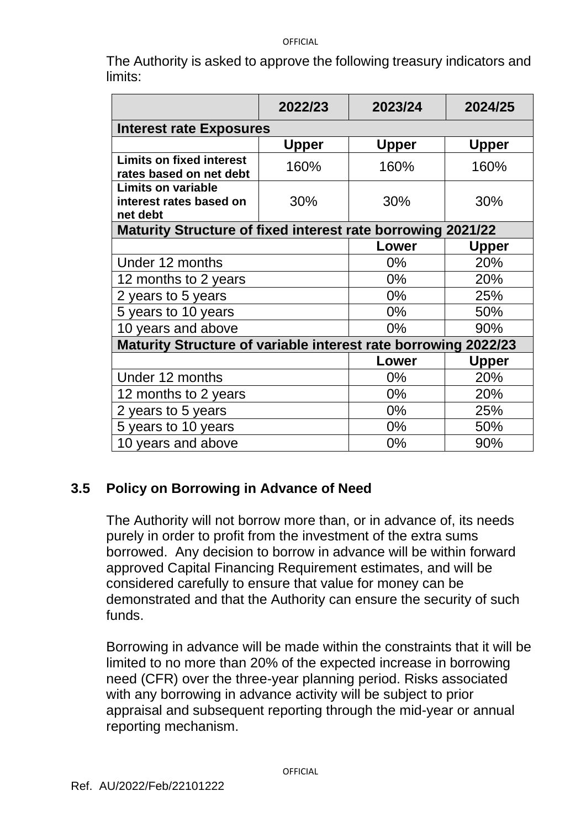The Authority is asked to approve the following treasury indicators and limits:

|                                                                    | 2022/23      | 2023/24      | 2024/25      |  |  |  |  |  |  |
|--------------------------------------------------------------------|--------------|--------------|--------------|--|--|--|--|--|--|
| <b>Interest rate Exposures</b>                                     |              |              |              |  |  |  |  |  |  |
|                                                                    | <b>Upper</b> | <b>Upper</b> | <b>Upper</b> |  |  |  |  |  |  |
| <b>Limits on fixed interest</b><br>rates based on net debt         | 160%         | 160%         | 160%         |  |  |  |  |  |  |
| <b>Limits on variable</b><br>interest rates based on<br>net debt   | 30%          | 30%          | 30%          |  |  |  |  |  |  |
| <b>Maturity Structure of fixed interest rate borrowing 2021/22</b> |              |              |              |  |  |  |  |  |  |
|                                                                    |              | Lower        | Upper        |  |  |  |  |  |  |
| Under 12 months                                                    | $0\%$        | 20%          |              |  |  |  |  |  |  |
| 12 months to 2 years                                               |              | $0\%$        | 20%          |  |  |  |  |  |  |
| 2 years to 5 years                                                 |              | $0\%$        | 25%          |  |  |  |  |  |  |
| 5 years to 10 years                                                |              | $0\%$        | 50%          |  |  |  |  |  |  |
| 10 years and above                                                 |              | $0\%$        | 90%          |  |  |  |  |  |  |
| Maturity Structure of variable interest rate borrowing 2022/23     |              |              |              |  |  |  |  |  |  |
|                                                                    |              | Lower        | <b>Upper</b> |  |  |  |  |  |  |
| Under 12 months                                                    |              | $0\%$        | 20%          |  |  |  |  |  |  |
| 12 months to 2 years                                               |              | $0\%$        | 20%          |  |  |  |  |  |  |
| 2 years to 5 years                                                 |              | 0%           | 25%          |  |  |  |  |  |  |
| 5 years to 10 years                                                |              | 0%           | 50%          |  |  |  |  |  |  |
| 10 years and above                                                 |              | 0%           | 90%          |  |  |  |  |  |  |

# **3.5 Policy on Borrowing in Advance of Need**

The Authority will not borrow more than, or in advance of, its needs purely in order to profit from the investment of the extra sums borrowed. Any decision to borrow in advance will be within forward approved Capital Financing Requirement estimates, and will be considered carefully to ensure that value for money can be demonstrated and that the Authority can ensure the security of such funds.

Borrowing in advance will be made within the constraints that it will be limited to no more than 20% of the expected increase in borrowing need (CFR) over the three-year planning period. Risks associated with any borrowing in advance activity will be subject to prior appraisal and subsequent reporting through the mid-year or annual reporting mechanism.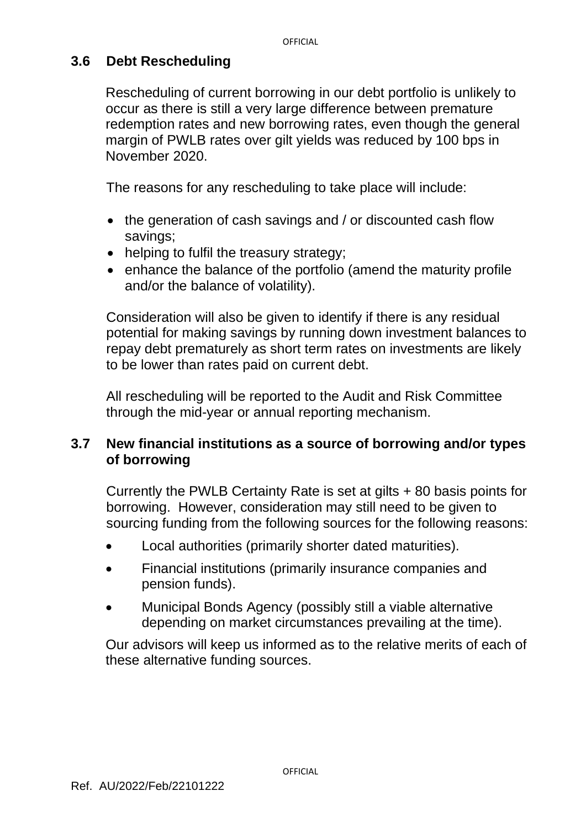### **3.6 Debt Rescheduling**

Rescheduling of current borrowing in our debt portfolio is unlikely to occur as there is still a very large difference between premature redemption rates and new borrowing rates, even though the general margin of PWLB rates over gilt yields was reduced by 100 bps in November 2020.

The reasons for any rescheduling to take place will include:

- the generation of cash savings and / or discounted cash flow savings;
- helping to fulfil the treasury strategy;
- enhance the balance of the portfolio (amend the maturity profile and/or the balance of volatility).

Consideration will also be given to identify if there is any residual potential for making savings by running down investment balances to repay debt prematurely as short term rates on investments are likely to be lower than rates paid on current debt.

All rescheduling will be reported to the Audit and Risk Committee through the mid-year or annual reporting mechanism.

### **3.7 New financial institutions as a source of borrowing and/or types of borrowing**

Currently the PWLB Certainty Rate is set at gilts + 80 basis points for borrowing. However, consideration may still need to be given to sourcing funding from the following sources for the following reasons:

- Local authorities (primarily shorter dated maturities).
- Financial institutions (primarily insurance companies and pension funds).
- Municipal Bonds Agency (possibly still a viable alternative depending on market circumstances prevailing at the time).

Our advisors will keep us informed as to the relative merits of each of these alternative funding sources.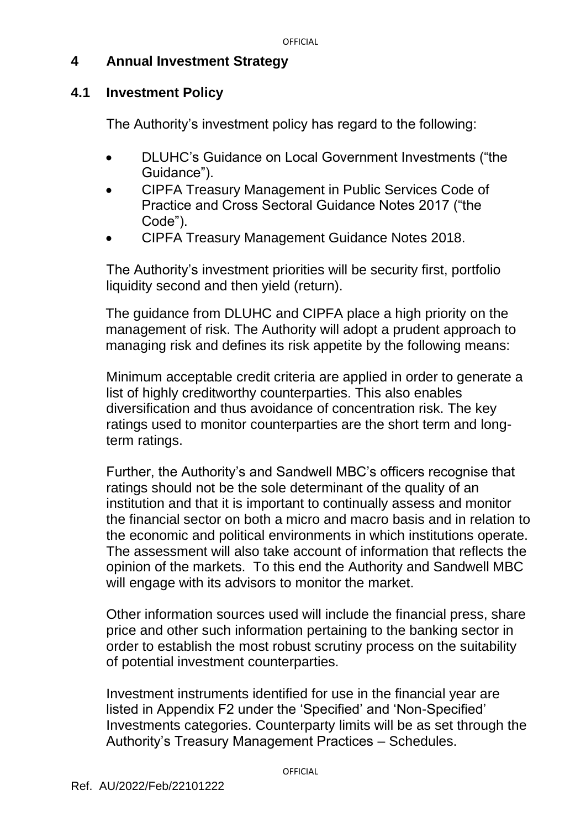### **4 Annual Investment Strategy**

### **4.1 Investment Policy**

The Authority's investment policy has regard to the following:

- DLUHC's Guidance on Local Government Investments ("the Guidance").
- CIPFA Treasury Management in Public Services Code of Practice and Cross Sectoral Guidance Notes 2017 ("the Code").
- CIPFA Treasury Management Guidance Notes 2018.

The Authority's investment priorities will be security first, portfolio liquidity second and then yield (return).

The guidance from DLUHC and CIPFA place a high priority on the management of risk. The Authority will adopt a prudent approach to managing risk and defines its risk appetite by the following means:

Minimum acceptable credit criteria are applied in order to generate a list of highly creditworthy counterparties. This also enables diversification and thus avoidance of concentration risk. The key ratings used to monitor counterparties are the short term and longterm ratings.

Further, the Authority's and Sandwell MBC's officers recognise that ratings should not be the sole determinant of the quality of an institution and that it is important to continually assess and monitor the financial sector on both a micro and macro basis and in relation to the economic and political environments in which institutions operate. The assessment will also take account of information that reflects the opinion of the markets. To this end the Authority and Sandwell MBC will engage with its advisors to monitor the market.

Other information sources used will include the financial press, share price and other such information pertaining to the banking sector in order to establish the most robust scrutiny process on the suitability of potential investment counterparties.

Investment instruments identified for use in the financial year are listed in Appendix F2 under the 'Specified' and 'Non-Specified' Investments categories. Counterparty limits will be as set through the Authority's Treasury Management Practices – Schedules.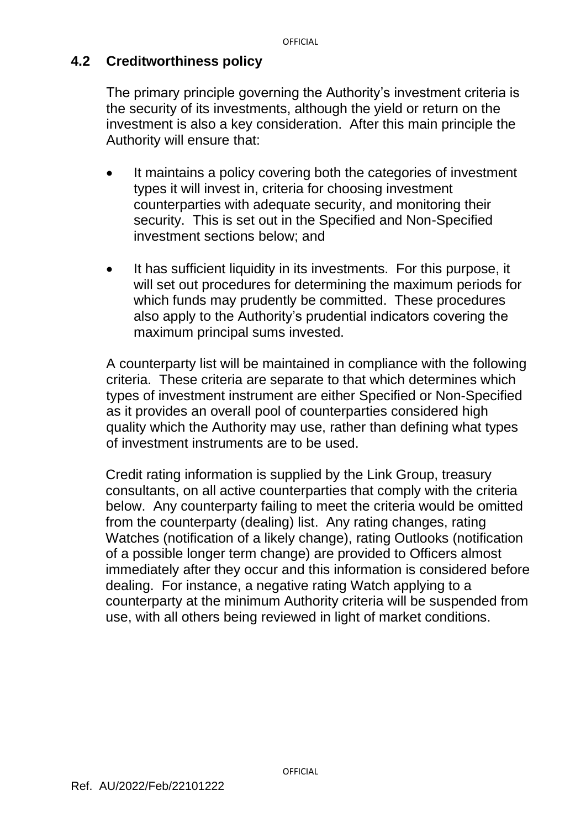### **4.2 Creditworthiness policy**

The primary principle governing the Authority's investment criteria is the security of its investments, although the yield or return on the investment is also a key consideration. After this main principle the Authority will ensure that:

- It maintains a policy covering both the categories of investment types it will invest in, criteria for choosing investment counterparties with adequate security, and monitoring their security. This is set out in the Specified and Non-Specified investment sections below; and
- It has sufficient liquidity in its investments. For this purpose, it will set out procedures for determining the maximum periods for which funds may prudently be committed. These procedures also apply to the Authority's prudential indicators covering the maximum principal sums invested.

A counterparty list will be maintained in compliance with the following criteria. These criteria are separate to that which determines which types of investment instrument are either Specified or Non-Specified as it provides an overall pool of counterparties considered high quality which the Authority may use, rather than defining what types of investment instruments are to be used.

Credit rating information is supplied by the Link Group, treasury consultants, on all active counterparties that comply with the criteria below. Any counterparty failing to meet the criteria would be omitted from the counterparty (dealing) list. Any rating changes, rating Watches (notification of a likely change), rating Outlooks (notification of a possible longer term change) are provided to Officers almost immediately after they occur and this information is considered before dealing. For instance, a negative rating Watch applying to a counterparty at the minimum Authority criteria will be suspended from use, with all others being reviewed in light of market conditions.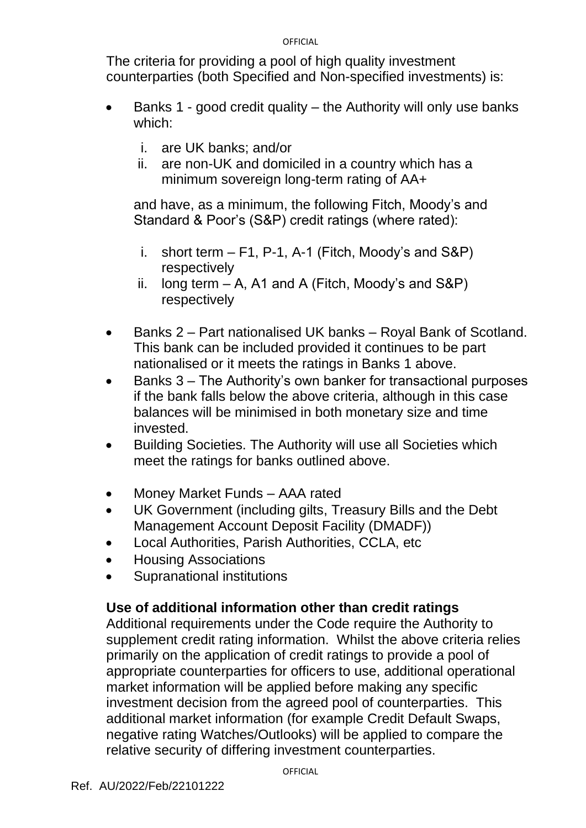The criteria for providing a pool of high quality investment counterparties (both Specified and Non-specified investments) is:

- Banks 1 good credit quality the Authority will only use banks which:
	- i. are UK banks; and/or
	- ii. are non-UK and domiciled in a country which has a minimum sovereign long-term rating of AA+

and have, as a minimum, the following Fitch, Moody's and Standard & Poor's (S&P) credit ratings (where rated):

- i. short term  $F1$ , P-1, A-1 (Fitch, Moody's and S&P) respectively
- ii. long term  $-$  A, A1 and A (Fitch, Moody's and S&P) respectively
- Banks 2 Part nationalised UK banks Royal Bank of Scotland. This bank can be included provided it continues to be part nationalised or it meets the ratings in Banks 1 above.
- Banks 3 The Authority's own banker for transactional purposes if the bank falls below the above criteria, although in this case balances will be minimised in both monetary size and time invested.
- Building Societies. The Authority will use all Societies which meet the ratings for banks outlined above.
- Money Market Funds AAA rated
- UK Government (including gilts, Treasury Bills and the Debt Management Account Deposit Facility (DMADF))
- Local Authorities, Parish Authorities, CCLA, etc
- Housing Associations
- Supranational institutions

#### **Use of additional information other than credit ratings**

Additional requirements under the Code require the Authority to supplement credit rating information. Whilst the above criteria relies primarily on the application of credit ratings to provide a pool of appropriate counterparties for officers to use, additional operational market information will be applied before making any specific investment decision from the agreed pool of counterparties. This additional market information (for example Credit Default Swaps, negative rating Watches/Outlooks) will be applied to compare the relative security of differing investment counterparties.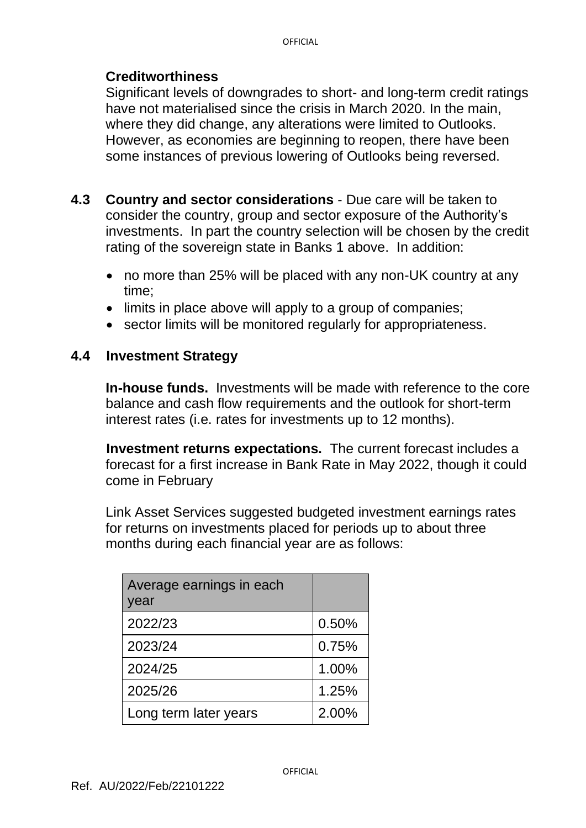#### **Creditworthiness**

Significant levels of downgrades to short- and long-term credit ratings have not materialised since the crisis in March 2020. In the main, where they did change, any alterations were limited to Outlooks. However, as economies are beginning to reopen, there have been some instances of previous lowering of Outlooks being reversed.

- **4.3 Country and sector considerations** Due care will be taken to consider the country, group and sector exposure of the Authority's investments. In part the country selection will be chosen by the credit rating of the sovereign state in Banks 1 above. In addition:
	- no more than 25% will be placed with any non-UK country at any time;
	- limits in place above will apply to a group of companies;
	- sector limits will be monitored regularly for appropriateness.

#### **4.4 Investment Strategy**

**In-house funds.** Investments will be made with reference to the core balance and cash flow requirements and the outlook for short-term interest rates (i.e. rates for investments up to 12 months).

**Investment returns expectations.** The current forecast includes a forecast for a first increase in Bank Rate in May 2022, though it could come in February

Link Asset Services suggested budgeted investment earnings rates for returns on investments placed for periods up to about three months during each financial year are as follows:

| Average earnings in each<br>year |       |
|----------------------------------|-------|
| 2022/23                          | 0.50% |
| 2023/24                          | 0.75% |
| 2024/25                          | 1.00% |
| 2025/26                          | 1.25% |
| Long term later years            | 2.00% |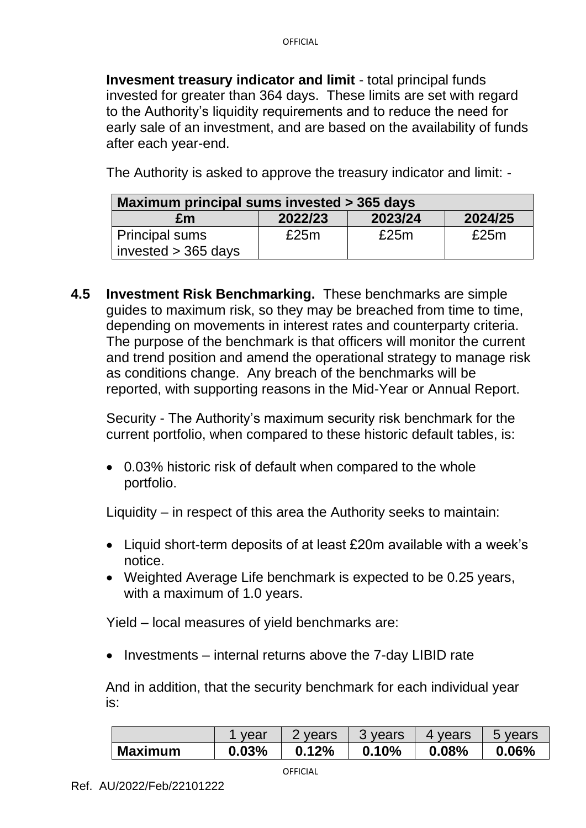**Invesment treasury indicator and limit** - total principal funds invested for greater than 364 days. These limits are set with regard to the Authority's liquidity requirements and to reduce the need for early sale of an investment, and are based on the availability of funds after each year-end.

The Authority is asked to approve the treasury indicator and limit: -

| Maximum principal sums invested > 365 days     |         |         |         |  |  |  |  |  |
|------------------------------------------------|---------|---------|---------|--|--|--|--|--|
| £m                                             | 2022/23 | 2023/24 | 2024/25 |  |  |  |  |  |
| <b>Principal sums</b><br>invested $>$ 365 days | £25m    | £25m    | £25 $m$ |  |  |  |  |  |

**4.5 Investment Risk Benchmarking.** These benchmarks are simple guides to maximum risk, so they may be breached from time to time, depending on movements in interest rates and counterparty criteria. The purpose of the benchmark is that officers will monitor the current and trend position and amend the operational strategy to manage risk as conditions change. Any breach of the benchmarks will be reported, with supporting reasons in the Mid-Year or Annual Report.

Security - The Authority's maximum security risk benchmark for the current portfolio, when compared to these historic default tables, is:

• 0.03% historic risk of default when compared to the whole portfolio.

Liquidity – in respect of this area the Authority seeks to maintain:

- Liquid short-term deposits of at least £20m available with a week's notice.
- Weighted Average Life benchmark is expected to be 0.25 years, with a maximum of 1.0 years.

Yield – local measures of yield benchmarks are:

• Investments – internal returns above the 7-day LIBID rate

And in addition, that the security benchmark for each individual year is:

|                | vear  | ! vears             | 3 years | vears<br>$\overline{4}$ | 5 years |
|----------------|-------|---------------------|---------|-------------------------|---------|
| <b>Maximum</b> | 0.03% | $\degree$ 12%<br>0. | 0.10%   | 0.08%                   | 0.06%   |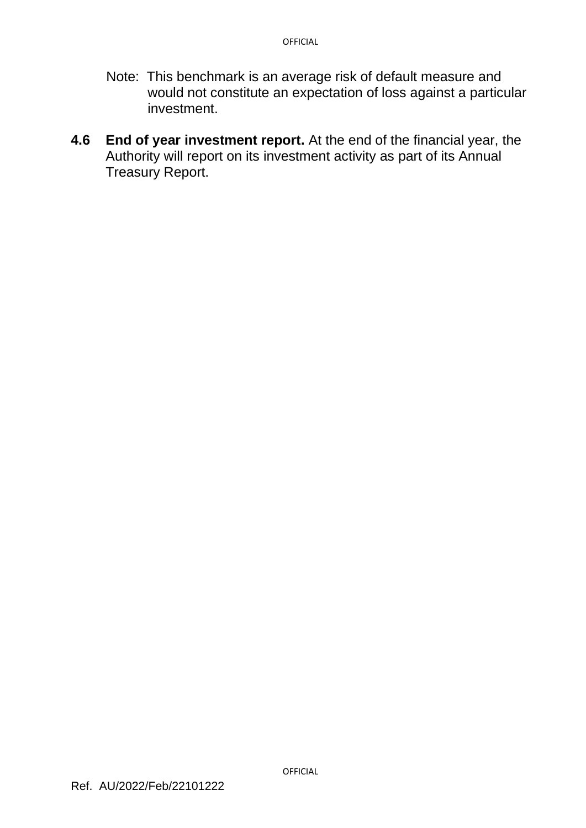- Note: This benchmark is an average risk of default measure and would not constitute an expectation of loss against a particular investment.
- **4.6 End of year investment report.** At the end of the financial year, the Authority will report on its investment activity as part of its Annual Treasury Report.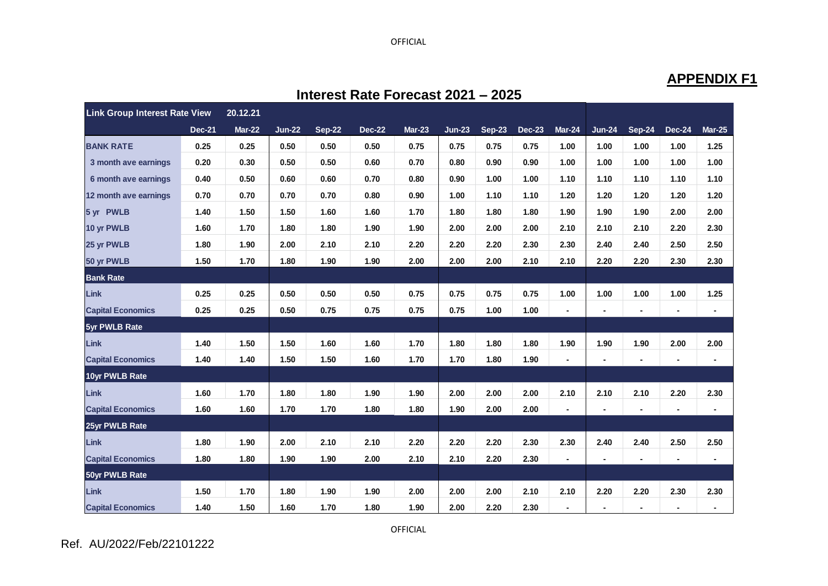### **APPENDIX F1**

| <b>Link Group Interest Rate View</b> |               | 20.12.21      |               |               |               |               |          |               |               |                |          |                |                |                |
|--------------------------------------|---------------|---------------|---------------|---------------|---------------|---------------|----------|---------------|---------------|----------------|----------|----------------|----------------|----------------|
|                                      | <b>Dec-21</b> | <b>Mar-22</b> | <b>Jun-22</b> | <b>Sep-22</b> | <b>Dec-22</b> | <b>Mar-23</b> | $Jun-23$ | <b>Sep-23</b> | <b>Dec-23</b> | Mar-24         | $Jun-24$ | <b>Sep-24</b>  | <b>Dec-24</b>  | <b>Mar-25</b>  |
| <b>BANK RATE</b>                     | 0.25          | 0.25          | 0.50          | 0.50          | 0.50          | 0.75          | 0.75     | 0.75          | 0.75          | 1.00           | 1.00     | 1.00           | 1.00           | 1.25           |
| 3 month ave earnings                 | 0.20          | 0.30          | 0.50          | 0.50          | 0.60          | 0.70          | 0.80     | 0.90          | 0.90          | 1.00           | 1.00     | 1.00           | 1.00           | 1.00           |
| 6 month ave earnings                 | 0.40          | 0.50          | 0.60          | 0.60          | 0.70          | 0.80          | 0.90     | 1.00          | 1.00          | 1.10           | 1.10     | 1.10           | 1.10           | 1.10           |
| 12 month ave earnings                | 0.70          | 0.70          | 0.70          | 0.70          | 0.80          | 0.90          | 1.00     | 1.10          | 1.10          | 1.20           | 1.20     | 1.20           | 1.20           | 1.20           |
| 5 yr PWLB                            | 1.40          | 1.50          | 1.50          | 1.60          | 1.60          | 1.70          | 1.80     | 1.80          | 1.80          | 1.90           | 1.90     | 1.90           | 2.00           | 2.00           |
| 10 yr PWLB                           | 1.60          | 1.70          | 1.80          | 1.80          | 1.90          | 1.90          | 2.00     | 2.00          | 2.00          | 2.10           | 2.10     | 2.10           | 2.20           | 2.30           |
| 25 yr PWLB                           | 1.80          | 1.90          | 2.00          | 2.10          | 2.10          | 2.20          | 2.20     | 2.20          | 2.30          | 2.30           | 2.40     | 2.40           | 2.50           | 2.50           |
| 50 yr PWLB                           | 1.50          | 1.70          | 1.80          | 1.90          | 1.90          | 2.00          | 2.00     | 2.00          | 2.10          | 2.10           | 2.20     | 2.20           | 2.30           | 2.30           |
| <b>Bank Rate</b>                     |               |               |               |               |               |               |          |               |               |                |          |                |                |                |
| Link                                 | 0.25          | 0.25          | 0.50          | 0.50          | 0.50          | 0.75          | 0.75     | 0.75          | 0.75          | 1.00           | 1.00     | 1.00           | 1.00           | 1.25           |
| <b>Capital Economics</b>             | 0.25          | 0.25          | 0.50          | 0.75          | 0.75          | 0.75          | 0.75     | 1.00          | 1.00          |                |          |                |                | $\blacksquare$ |
| 5yr PWLB Rate                        |               |               |               |               |               |               |          |               |               |                |          |                |                |                |
| <b>Link</b>                          | 1.40          | 1.50          | 1.50          | 1.60          | 1.60          | 1.70          | 1.80     | 1.80          | 1.80          | 1.90           | 1.90     | 1.90           | 2.00           | 2.00           |
| <b>Capital Economics</b>             | 1.40          | 1.40          | 1.50          | 1.50          | 1.60          | 1.70          | 1.70     | 1.80          | 1.90          | $\blacksquare$ |          |                |                | $\blacksquare$ |
| 10yr PWLB Rate                       |               |               |               |               |               |               |          |               |               |                |          |                |                |                |
| <b>Link</b>                          | 1.60          | 1.70          | 1.80          | 1.80          | 1.90          | 1.90          | 2.00     | 2.00          | 2.00          | 2.10           | 2.10     | 2.10           | 2.20           | 2.30           |
| <b>Capital Economics</b>             | 1.60          | 1.60          | 1.70          | 1.70          | 1.80          | 1.80          | 1.90     | 2.00          | 2.00          |                |          | $\blacksquare$ | $\blacksquare$ | $\blacksquare$ |
| 25yr PWLB Rate                       |               |               |               |               |               |               |          |               |               |                |          |                |                |                |
| <b>Link</b>                          | 1.80          | 1.90          | 2.00          | 2.10          | 2.10          | 2.20          | 2.20     | 2.20          | 2.30          | 2.30           | 2.40     | 2.40           | 2.50           | 2.50           |
| <b>Capital Economics</b>             | 1.80          | 1.80          | 1.90          | 1.90          | 2.00          | 2.10          | 2.10     | 2.20          | 2.30          |                |          | $\blacksquare$ | $\blacksquare$ | $\blacksquare$ |
| 50yr PWLB Rate                       |               |               |               |               |               |               |          |               |               |                |          |                |                |                |
| Link                                 | 1.50          | 1.70          | 1.80          | 1.90          | 1.90          | 2.00          | 2.00     | 2.00          | 2.10          | 2.10           | 2.20     | 2.20           | 2.30           | 2.30           |
| <b>Capital Economics</b>             | 1.40          | 1.50          | 1.60          | 1.70          | 1.80          | 1.90          | 2.00     | 2.20          | 2.30          |                |          |                |                |                |

**Interest Rate Forecast 2021 – 2025**

Ref. AU/2022/Feb/22101222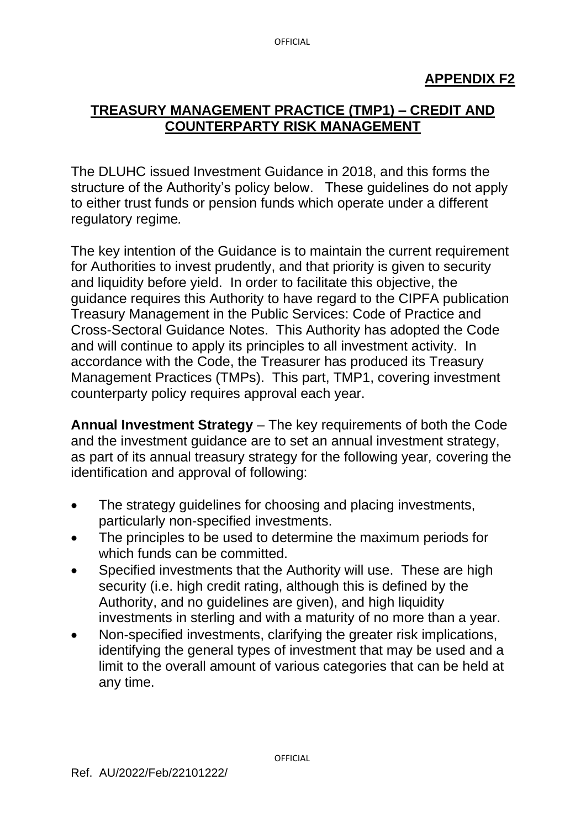# **TREASURY MANAGEMENT PRACTICE (TMP1) – CREDIT AND COUNTERPARTY RISK MANAGEMENT**

The DLUHC issued Investment Guidance in 2018, and this forms the structure of the Authority's policy below. These guidelines do not apply to either trust funds or pension funds which operate under a different regulatory regime*.*

The key intention of the Guidance is to maintain the current requirement for Authorities to invest prudently, and that priority is given to security and liquidity before yield. In order to facilitate this objective, the guidance requires this Authority to have regard to the CIPFA publication Treasury Management in the Public Services: Code of Practice and Cross-Sectoral Guidance Notes. This Authority has adopted the Code and will continue to apply its principles to all investment activity. In accordance with the Code, the Treasurer has produced its Treasury Management Practices (TMPs). This part, TMP1, covering investment counterparty policy requires approval each year.

**Annual Investment Strategy** – The key requirements of both the Code and the investment guidance are to set an annual investment strategy, as part of its annual treasury strategy for the following year*,* covering the identification and approval of following:

- The strategy guidelines for choosing and placing investments, particularly non-specified investments.
- The principles to be used to determine the maximum periods for which funds can be committed.
- Specified investments that the Authority will use. These are high security (i.e. high credit rating, although this is defined by the Authority, and no guidelines are given), and high liquidity investments in sterling and with a maturity of no more than a year.
- Non-specified investments, clarifying the greater risk implications, identifying the general types of investment that may be used and a limit to the overall amount of various categories that can be held at any time.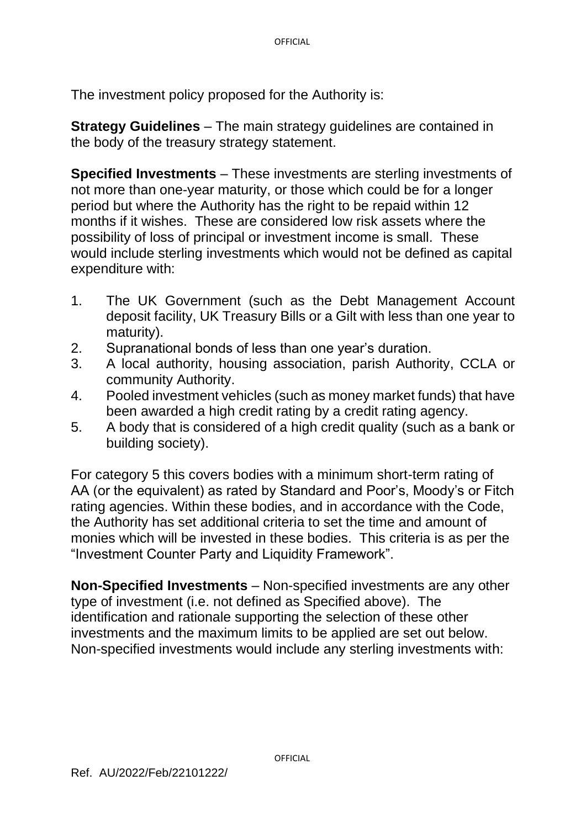The investment policy proposed for the Authority is:

**Strategy Guidelines** – The main strategy guidelines are contained in the body of the treasury strategy statement.

**Specified Investments** – These investments are sterling investments of not more than one-year maturity, or those which could be for a longer period but where the Authority has the right to be repaid within 12 months if it wishes. These are considered low risk assets where the possibility of loss of principal or investment income is small. These would include sterling investments which would not be defined as capital expenditure with:

- 1. The UK Government (such as the Debt Management Account deposit facility, UK Treasury Bills or a Gilt with less than one year to maturity).
- 2. Supranational bonds of less than one year's duration.
- 3. A local authority, housing association, parish Authority, CCLA or community Authority.
- 4. Pooled investment vehicles (such as money market funds) that have been awarded a high credit rating by a credit rating agency.
- 5. A body that is considered of a high credit quality (such as a bank or building society).

For category 5 this covers bodies with a minimum short-term rating of AA (or the equivalent) as rated by Standard and Poor's, Moody's or Fitch rating agencies. Within these bodies, and in accordance with the Code, the Authority has set additional criteria to set the time and amount of monies which will be invested in these bodies. This criteria is as per the "Investment Counter Party and Liquidity Framework".

**Non-Specified Investments** – Non-specified investments are any other type of investment (i.e. not defined as Specified above). The identification and rationale supporting the selection of these other investments and the maximum limits to be applied are set out below. Non-specified investments would include any sterling investments with: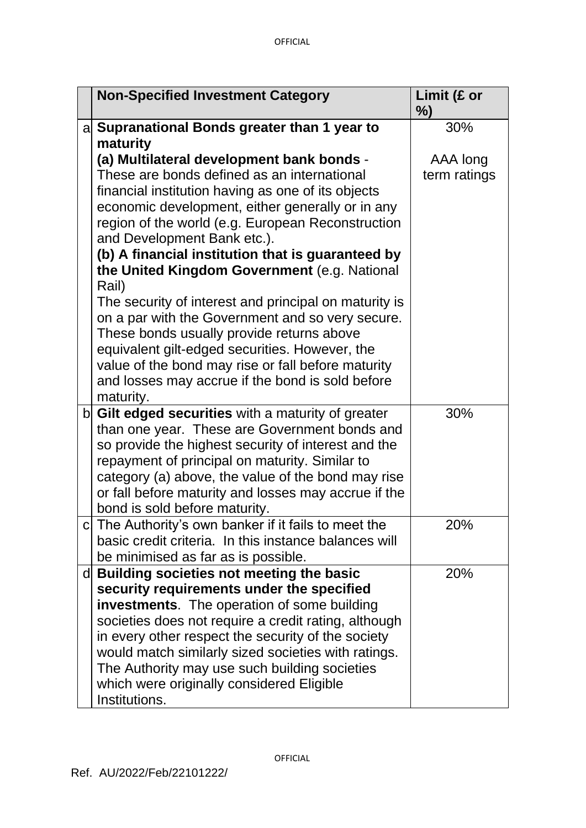| <b>Non-Specified Investment Category</b>                                                               | Limit (£ or<br>%) |
|--------------------------------------------------------------------------------------------------------|-------------------|
| a Supranational Bonds greater than 1 year to                                                           | 30%               |
| maturity                                                                                               |                   |
| (a) Multilateral development bank bonds -                                                              | AAA long          |
| These are bonds defined as an international                                                            | term ratings      |
| financial institution having as one of its objects<br>economic development, either generally or in any |                   |
| region of the world (e.g. European Reconstruction                                                      |                   |
| and Development Bank etc.).                                                                            |                   |
| (b) A financial institution that is guaranteed by                                                      |                   |
| the United Kingdom Government (e.g. National                                                           |                   |
| Rail)                                                                                                  |                   |
| The security of interest and principal on maturity is                                                  |                   |
| on a par with the Government and so very secure.                                                       |                   |
| These bonds usually provide returns above                                                              |                   |
| equivalent gilt-edged securities. However, the                                                         |                   |
| value of the bond may rise or fall before maturity                                                     |                   |
| and losses may accrue if the bond is sold before                                                       |                   |
| maturity.                                                                                              |                   |
| $\mathbf{b}$ Gilt edged securities with a maturity of greater                                          | 30%               |
| than one year. These are Government bonds and                                                          |                   |
| so provide the highest security of interest and the                                                    |                   |
| repayment of principal on maturity. Similar to                                                         |                   |
| category (a) above, the value of the bond may rise                                                     |                   |
| or fall before maturity and losses may accrue if the                                                   |                   |
| bond is sold before maturity.                                                                          |                   |
| The Authority's own banker if it fails to meet the                                                     | 20%               |
| basic credit criteria. In this instance balances will                                                  |                   |
| be minimised as far as is possible.                                                                    |                   |
| d Building societies not meeting the basic                                                             | 20%               |
| security requirements under the specified<br><b>investments</b> . The operation of some building       |                   |
| societies does not require a credit rating, although                                                   |                   |
| in every other respect the security of the society                                                     |                   |
| would match similarly sized societies with ratings.                                                    |                   |
| The Authority may use such building societies                                                          |                   |
| which were originally considered Eligible                                                              |                   |
| Institutions.                                                                                          |                   |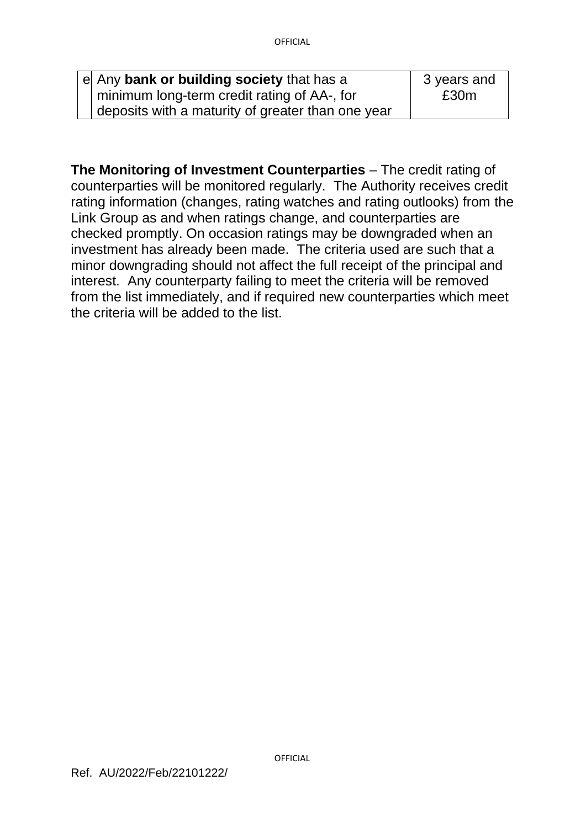| e Any bank or building society that has a         | 3 years and |
|---------------------------------------------------|-------------|
| minimum long-term credit rating of AA-, for       | £30m        |
| deposits with a maturity of greater than one year |             |

**The Monitoring of Investment Counterparties** – The credit rating of counterparties will be monitored regularly. The Authority receives credit rating information (changes, rating watches and rating outlooks) from the Link Group as and when ratings change, and counterparties are checked promptly. On occasion ratings may be downgraded when an investment has already been made. The criteria used are such that a minor downgrading should not affect the full receipt of the principal and interest. Any counterparty failing to meet the criteria will be removed from the list immediately, and if required new counterparties which meet the criteria will be added to the list.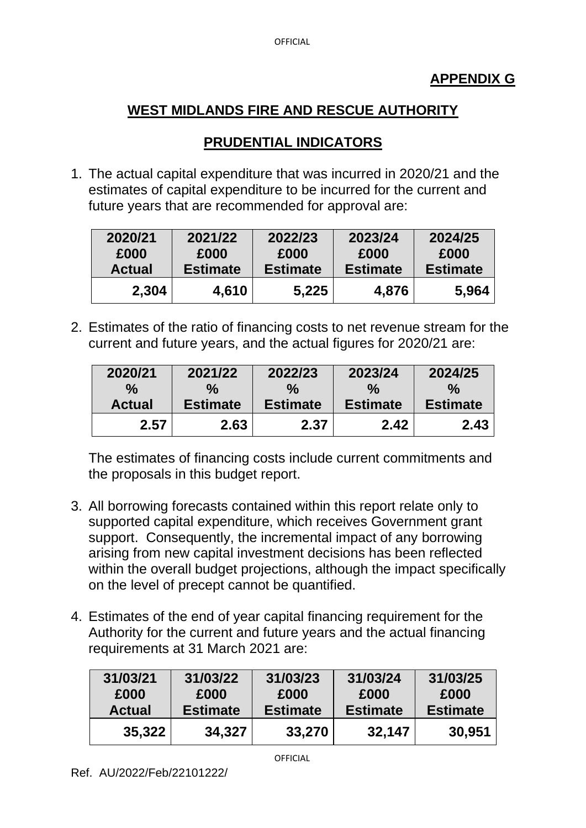# **PRUDENTIAL INDICATORS**

1. The actual capital expenditure that was incurred in 2020/21 and the estimates of capital expenditure to be incurred for the current and future years that are recommended for approval are:

| 2020/21       | 2021/22         | 2022/23         | 2023/24         | 2024/25         |
|---------------|-----------------|-----------------|-----------------|-----------------|
| £000          | £000            | £000            | £000            | £000            |
| <b>Actual</b> | <b>Estimate</b> | <b>Estimate</b> | <b>Estimate</b> | <b>Estimate</b> |
| 2,304         | 4,610           | 5,225           | 4,876           | 5.964           |

2. Estimates of the ratio of financing costs to net revenue stream for the current and future years, and the actual figures for 2020/21 are:

| 2020/21       | 2021/22         | 2022/23         | 2023/24         | 2024/25         |
|---------------|-----------------|-----------------|-----------------|-----------------|
| $\frac{0}{0}$ | ℅               | ℅               | $\%$            | ℅               |
| <b>Actual</b> | <b>Estimate</b> | <b>Estimate</b> | <b>Estimate</b> | <b>Estimate</b> |
| 2.57          | 2.63            | 2.37            | 2.42            | 2.43            |

The estimates of financing costs include current commitments and the proposals in this budget report.

- 3. All borrowing forecasts contained within this report relate only to supported capital expenditure, which receives Government grant support. Consequently, the incremental impact of any borrowing arising from new capital investment decisions has been reflected within the overall budget projections, although the impact specifically on the level of precept cannot be quantified.
- 4. Estimates of the end of year capital financing requirement for the Authority for the current and future years and the actual financing requirements at 31 March 2021 are:

| 31/03/21      | 31/03/22        | 31/03/23        | 31/03/24        | 31/03/25        |
|---------------|-----------------|-----------------|-----------------|-----------------|
| £000          | £000            | £000            | £000            | £000            |
| <b>Actual</b> | <b>Estimate</b> | <b>Estimate</b> | <b>Estimate</b> | <b>Estimate</b> |
| 35,322        | 34,327          | 33,270          | 32,147          | 30,951          |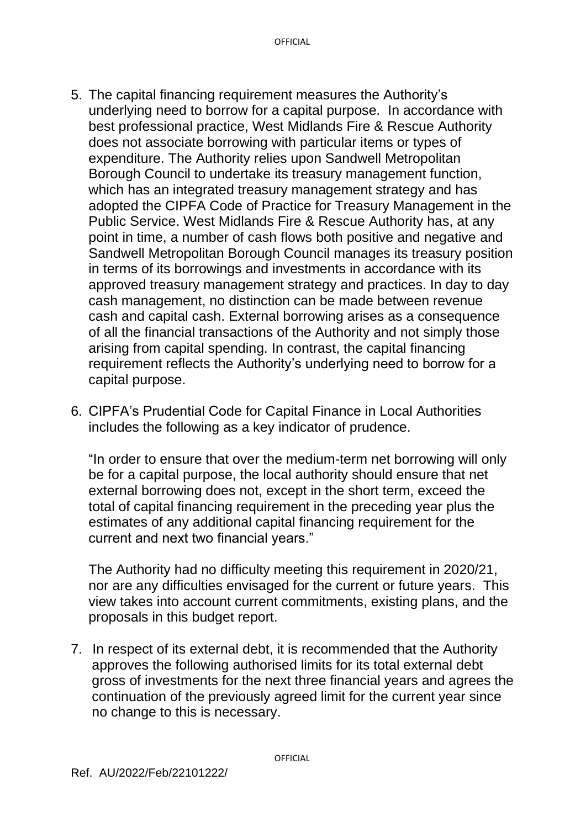- 5. The capital financing requirement measures the Authority's underlying need to borrow for a capital purpose. In accordance with best professional practice, West Midlands Fire & Rescue Authority does not associate borrowing with particular items or types of expenditure. The Authority relies upon Sandwell Metropolitan Borough Council to undertake its treasury management function, which has an integrated treasury management strategy and has adopted the CIPFA Code of Practice for Treasury Management in the Public Service. West Midlands Fire & Rescue Authority has, at any point in time, a number of cash flows both positive and negative and Sandwell Metropolitan Borough Council manages its treasury position in terms of its borrowings and investments in accordance with its approved treasury management strategy and practices. In day to day cash management, no distinction can be made between revenue cash and capital cash. External borrowing arises as a consequence of all the financial transactions of the Authority and not simply those arising from capital spending. In contrast, the capital financing requirement reflects the Authority's underlying need to borrow for a capital purpose.
- 6. CIPFA's Prudential Code for Capital Finance in Local Authorities includes the following as a key indicator of prudence.

"In order to ensure that over the medium-term net borrowing will only be for a capital purpose, the local authority should ensure that net external borrowing does not, except in the short term, exceed the total of capital financing requirement in the preceding year plus the estimates of any additional capital financing requirement for the current and next two financial years."

The Authority had no difficulty meeting this requirement in 2020/21, nor are any difficulties envisaged for the current or future years. This view takes into account current commitments, existing plans, and the proposals in this budget report.

7. In respect of its external debt, it is recommended that the Authority approves the following authorised limits for its total external debt gross of investments for the next three financial years and agrees the continuation of the previously agreed limit for the current year since no change to this is necessary.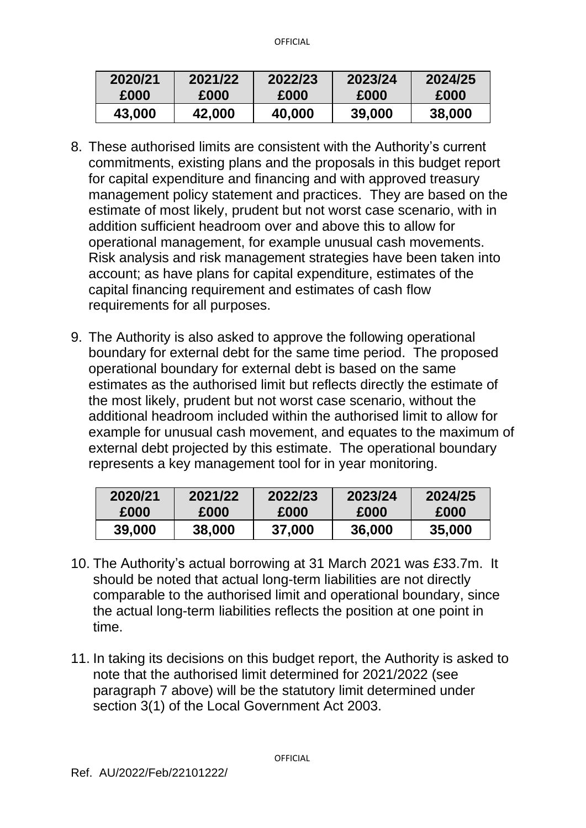| 2020/21 | 2021/22 | 2022/23 | 2023/24 | 2024/25 |
|---------|---------|---------|---------|---------|
| £000    | £000    | £000    | £000    | £000    |
| 43,000  | 42,000  | 40,000  | 39,000  | 38,000  |

- 8. These authorised limits are consistent with the Authority's current commitments, existing plans and the proposals in this budget report for capital expenditure and financing and with approved treasury management policy statement and practices. They are based on the estimate of most likely, prudent but not worst case scenario, with in addition sufficient headroom over and above this to allow for operational management, for example unusual cash movements. Risk analysis and risk management strategies have been taken into account; as have plans for capital expenditure, estimates of the capital financing requirement and estimates of cash flow requirements for all purposes.
- 9. The Authority is also asked to approve the following operational boundary for external debt for the same time period. The proposed operational boundary for external debt is based on the same estimates as the authorised limit but reflects directly the estimate of the most likely, prudent but not worst case scenario, without the additional headroom included within the authorised limit to allow for example for unusual cash movement, and equates to the maximum of external debt projected by this estimate. The operational boundary represents a key management tool for in year monitoring.

| 2020/21 | 2021/22 | 2022/23 | 2023/24 | 2024/25 |
|---------|---------|---------|---------|---------|
| £000    | £000    | £000    | £000    | £000    |
| 39,000  | 38,000  | 37,000  | 36,000  | 35,000  |

- 10. The Authority's actual borrowing at 31 March 2021 was £33.7m. It should be noted that actual long-term liabilities are not directly comparable to the authorised limit and operational boundary, since the actual long-term liabilities reflects the position at one point in time.
- 11. In taking its decisions on this budget report, the Authority is asked to note that the authorised limit determined for 2021/2022 (see paragraph 7 above) will be the statutory limit determined under section 3(1) of the Local Government Act 2003.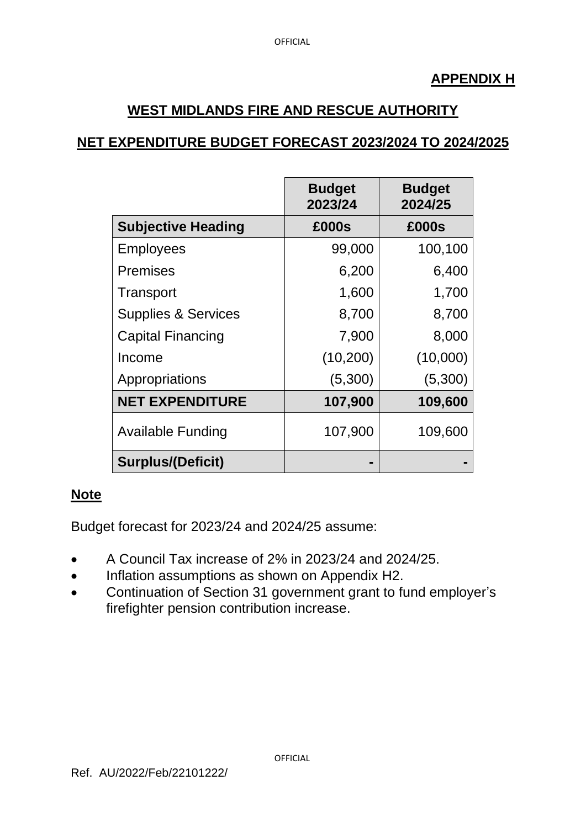### **APPENDIX H**

# **WEST MIDLANDS FIRE AND RESCUE AUTHORITY**

# **NET EXPENDITURE BUDGET FORECAST 2023/2024 TO 2024/2025**

|                                | <b>Budget</b><br>2023/24 | <b>Budget</b><br>2024/25 |
|--------------------------------|--------------------------|--------------------------|
| <b>Subjective Heading</b>      | £000s                    | £000s                    |
| <b>Employees</b>               | 99,000                   | 100,100                  |
| <b>Premises</b>                | 6,200                    | 6,400                    |
| Transport                      | 1,600                    | 1,700                    |
| <b>Supplies &amp; Services</b> | 8,700                    | 8,700                    |
| <b>Capital Financing</b>       | 7,900                    | 8,000                    |
| Income                         | (10, 200)                | (10,000)                 |
| Appropriations                 | (5,300)                  | (5,300)                  |
| <b>NET EXPENDITURE</b>         | 107,900                  | 109,600                  |
| <b>Available Funding</b>       | 107,900                  | 109,600                  |
| <b>Surplus/(Deficit)</b>       | -                        |                          |

#### **Note**

Budget forecast for 2023/24 and 2024/25 assume:

- A Council Tax increase of 2% in 2023/24 and 2024/25.
- Inflation assumptions as shown on Appendix H2.
- Continuation of Section 31 government grant to fund employer's firefighter pension contribution increase.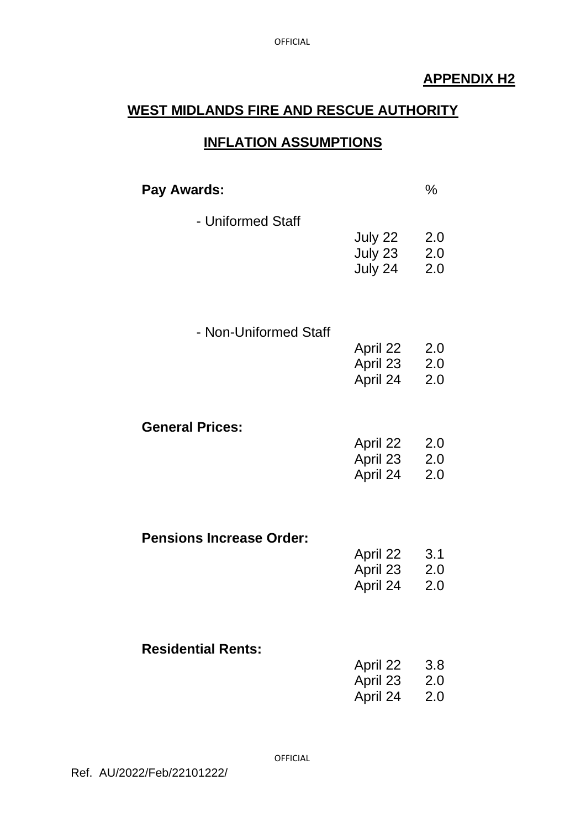# **APPENDIX H2**

# **WEST MIDLANDS FIRE AND RESCUE AUTHORITY**

# **INFLATION ASSUMPTIONS**

| Pay Awards:                     |                                      | $\%$              |
|---------------------------------|--------------------------------------|-------------------|
| - Uniformed Staff               | July 22<br>July 23<br>July 24        | 2.0<br>2.0<br>2.0 |
| - Non-Uniformed Staff           | April 22<br>April 23 2.0<br>April 24 | 2.0<br>2.0        |
| <b>General Prices:</b>          | April 22<br>April 23 2.0<br>April 24 | 2.0<br>2.0        |
| <b>Pensions Increase Order:</b> | April 22<br>April 23<br>April 24     | 3.1<br>2.0<br>2.0 |
| <b>Residential Rents:</b>       | April 22<br>April 23<br>April 24     | 3.8<br>2.0<br>2.0 |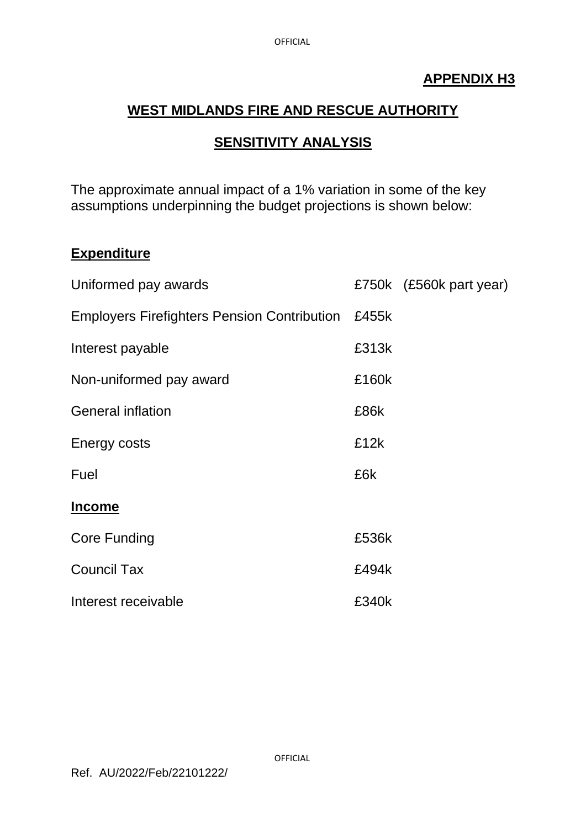# **APPENDIX H3**

# **WEST MIDLANDS FIRE AND RESCUE AUTHORITY**

# **SENSITIVITY ANALYSIS**

The approximate annual impact of a 1% variation in some of the key assumptions underpinning the budget projections is shown below:

#### **Expenditure**

| Uniformed pay awards                               |       | £750k (£560k part year) |
|----------------------------------------------------|-------|-------------------------|
| <b>Employers Firefighters Pension Contribution</b> | £455k |                         |
| Interest payable                                   | £313k |                         |
| Non-uniformed pay award                            | £160k |                         |
| <b>General inflation</b>                           | £86k  |                         |
| Energy costs                                       | £12k  |                         |
| Fuel                                               | £6k   |                         |
| <b>Income</b>                                      |       |                         |
| <b>Core Funding</b>                                | £536k |                         |
| <b>Council Tax</b>                                 | £494k |                         |
| Interest receivable                                | £340k |                         |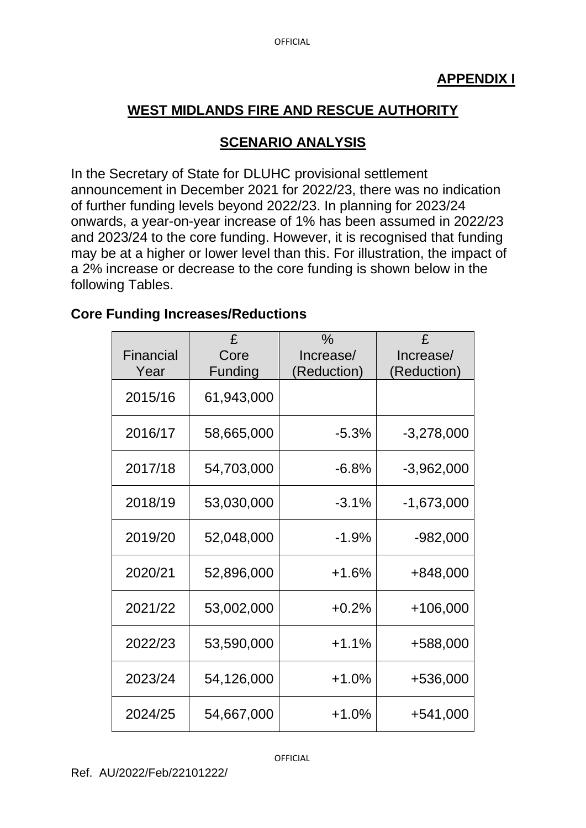# **SCENARIO ANALYSIS**

In the Secretary of State for DLUHC provisional settlement announcement in December 2021 for 2022/23, there was no indication of further funding levels beyond 2022/23. In planning for 2023/24 onwards, a year-on-year increase of 1% has been assumed in 2022/23 and 2023/24 to the core funding. However, it is recognised that funding may be at a higher or lower level than this. For illustration, the impact of a 2% increase or decrease to the core funding is shown below in the following Tables.

# **Core Funding Increases/Reductions**

| Financial<br>Year | £<br>Core<br>Funding | $\frac{0}{0}$<br>Increase/<br>(Reduction) | £<br>Increase/<br>(Reduction) |
|-------------------|----------------------|-------------------------------------------|-------------------------------|
| 2015/16           | 61,943,000           |                                           |                               |
| 2016/17           | 58,665,000           | $-5.3%$                                   | $-3,278,000$                  |
| 2017/18           | 54,703,000           | $-6.8%$                                   | $-3,962,000$                  |
| 2018/19           | 53,030,000           | $-3.1%$                                   | $-1,673,000$                  |
| 2019/20           | 52,048,000           | $-1.9%$                                   | $-982,000$                    |
| 2020/21           | 52,896,000           | $+1.6%$                                   | +848,000                      |
| 2021/22           | 53,002,000           | $+0.2%$                                   | +106,000                      |
| 2022/23           | 53,590,000           | $+1.1%$                                   | +588,000                      |
| 2023/24           | 54,126,000           | $+1.0%$                                   | +536,000                      |
| 2024/25           | 54,667,000           | $+1.0\%$                                  | +541,000                      |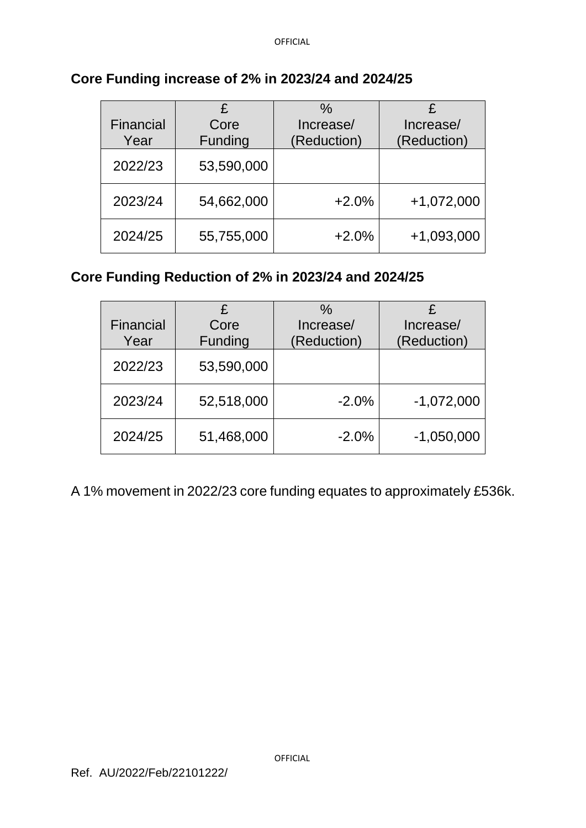|           | £          | $\%$        | £            |
|-----------|------------|-------------|--------------|
| Financial | Core       | Increase/   | Increase/    |
| Year      | Funding    | (Reduction) | (Reduction)  |
| 2022/23   | 53,590,000 |             |              |
| 2023/24   | 54,662,000 | $+2.0%$     | $+1,072,000$ |
| 2024/25   | 55,755,000 | $+2.0%$     | +1,093,000   |

### **Core Funding increase of 2% in 2023/24 and 2024/25**

# **Core Funding Reduction of 2% in 2023/24 and 2024/25**

|           | £          | $\%$        |              |
|-----------|------------|-------------|--------------|
| Financial | Core       | Increase/   | Increase/    |
| Year      | Funding    | (Reduction) | (Reduction)  |
| 2022/23   | 53,590,000 |             |              |
| 2023/24   | 52,518,000 | $-2.0%$     | $-1,072,000$ |
| 2024/25   | 51,468,000 | $-2.0%$     | $-1,050,000$ |

A 1% movement in 2022/23 core funding equates to approximately £536k.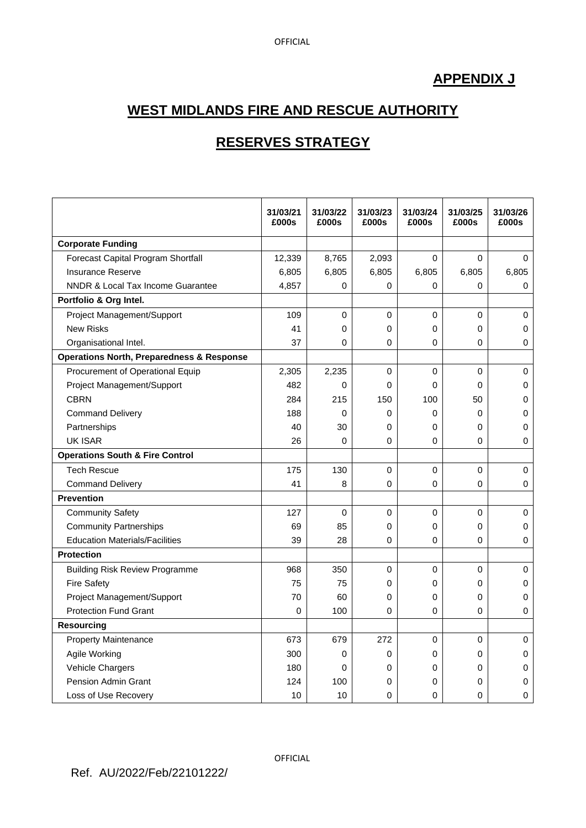# **APPENDIX J**

# **WEST MIDLANDS FIRE AND RESCUE AUTHORITY**

# **RESERVES STRATEGY**

|                                                      | 31/03/21<br>£000s | 31/03/22<br>£000s | 31/03/23<br>£000s | 31/03/24<br>£000s | 31/03/25<br>£000s | 31/03/26<br>£000s |
|------------------------------------------------------|-------------------|-------------------|-------------------|-------------------|-------------------|-------------------|
| <b>Corporate Funding</b>                             |                   |                   |                   |                   |                   |                   |
| Forecast Capital Program Shortfall                   | 12,339            | 8,765             | 2,093             | 0                 | $\Omega$          | $\Omega$          |
| <b>Insurance Reserve</b>                             | 6,805             | 6,805             | 6,805             | 6,805             | 6,805             | 6,805             |
| NNDR & Local Tax Income Guarantee                    | 4,857             | 0                 | 0                 | $\Omega$          | 0                 | 0                 |
| Portfolio & Org Intel.                               |                   |                   |                   |                   |                   |                   |
| Project Management/Support                           | 109               | $\Omega$          | $\Omega$          | 0                 | $\Omega$          | $\Omega$          |
| <b>New Risks</b>                                     | 41                | $\Omega$          | 0                 | 0                 | $\Omega$          | 0                 |
| Organisational Intel.                                | 37                | 0                 | 0                 | 0                 | 0                 | 0                 |
| <b>Operations North, Preparedness &amp; Response</b> |                   |                   |                   |                   |                   |                   |
| Procurement of Operational Equip                     | 2,305             | 2,235             | 0                 | 0                 | 0                 | 0                 |
| Project Management/Support                           | 482               | $\Omega$          | 0                 | 0                 | $\Omega$          | 0                 |
| <b>CBRN</b>                                          | 284               | 215               | 150               | 100               | 50                | 0                 |
| <b>Command Delivery</b>                              | 188               | 0                 | 0                 | 0                 | 0                 | 0                 |
| Partnerships                                         | 40                | 30                | 0                 | 0                 | 0                 | 0                 |
| <b>UK ISAR</b>                                       | 26                | $\Omega$          | 0                 | 0                 | $\Omega$          | 0                 |
| <b>Operations South &amp; Fire Control</b>           |                   |                   |                   |                   |                   |                   |
| <b>Tech Rescue</b>                                   | 175               | 130               | 0                 | 0                 | 0                 | 0                 |
| <b>Command Delivery</b>                              | 41                | 8                 | 0                 | 0                 | 0                 | 0                 |
| <b>Prevention</b>                                    |                   |                   |                   |                   |                   |                   |
| <b>Community Safety</b>                              | 127               | $\mathbf 0$       | 0                 | 0                 | $\mathbf 0$       | 0                 |
| <b>Community Partnerships</b>                        | 69                | 85                | 0                 | 0                 | 0                 | 0                 |
| <b>Education Materials/Facilities</b>                | 39                | 28                | 0                 | 0                 | $\Omega$          | $\Omega$          |
| <b>Protection</b>                                    |                   |                   |                   |                   |                   |                   |
| <b>Building Risk Review Programme</b>                | 968               | 350               | 0                 | 0                 | 0                 | 0                 |
| <b>Fire Safety</b>                                   | 75                | 75                | 0                 | 0                 | 0                 | 0                 |
| Project Management/Support                           | 70                | 60                | 0                 | 0                 | $\Omega$          | $\Omega$          |
| <b>Protection Fund Grant</b>                         | 0                 | 100               | 0                 | 0                 | 0                 | 0                 |
| <b>Resourcing</b>                                    |                   |                   |                   |                   |                   |                   |
| <b>Property Maintenance</b>                          | 673               | 679               | 272               | 0                 | 0                 | 0                 |
| Agile Working                                        | 300               | 0                 | 0                 | 0                 | 0                 | 0                 |
| Vehicle Chargers                                     | 180               | $\Omega$          | 0                 | 0                 | $\Omega$          | 0                 |
| <b>Pension Admin Grant</b>                           | 124               | 100               | 0                 | 0                 | 0                 | 0                 |
| Loss of Use Recovery                                 | 10                | 10                | 0                 | 0                 | 0                 | 0                 |